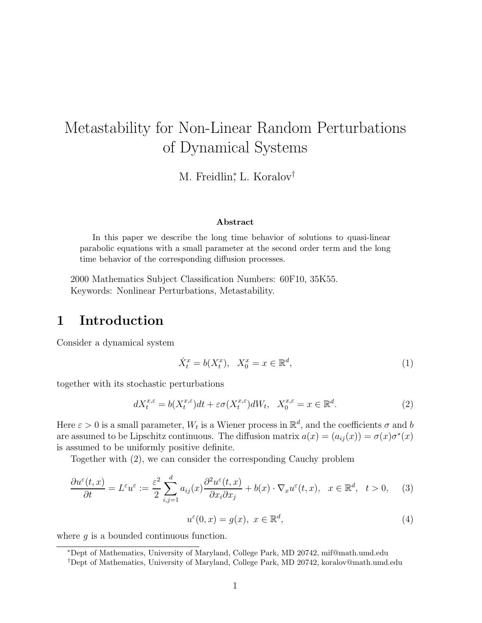# Metastability for Non-Linear Random Perturbations of Dynamical Systems

M. Freidlin<sup>\*</sup>, L. Koralov<sup>†</sup>

#### **Abstract**

In this paper we describe the long time behavior of solutions to quasi-linear parabolic equations with a small parameter at the second order term and the long time behavior of the corresponding diffusion processes.

2000 Mathematics Subject Classification Numbers: 60F10, 35K55. Keywords: Nonlinear Perturbations, Metastability.

### **1 Introduction**

Consider a dynamical system

$$
\dot{X}_t^x = b(X_t^x), \quad X_0^x = x \in \mathbb{R}^d,\tag{1}
$$

together with its stochastic perturbations

$$
dX_t^{x,\varepsilon} = b(X_t^{x,\varepsilon})dt + \varepsilon \sigma(X_t^{x,\varepsilon})dW_t, \quad X_0^{x,\varepsilon} = x \in \mathbb{R}^d. \tag{2}
$$

Here  $\varepsilon > 0$  is a small parameter,  $W_t$  is a Wiener process in  $\mathbb{R}^d$ , and the coefficients  $\sigma$  and b are assumed to be Lipschitz continuous. The diffusion matrix  $a(x)=(a_{ij}(x)) = \sigma(x)\sigma^*(x)$ is assumed to be uniformly positive definite.

Together with (2), we can consider the corresponding Cauchy problem

$$
\frac{\partial u^{\varepsilon}(t,x)}{\partial t} = L^{\varepsilon} u^{\varepsilon} := \frac{\varepsilon^2}{2} \sum_{i,j=1}^{d} a_{ij}(x) \frac{\partial^2 u^{\varepsilon}(t,x)}{\partial x_i \partial x_j} + b(x) \cdot \nabla_x u^{\varepsilon}(t,x), \quad x \in \mathbb{R}^d, \quad t > 0,
$$
 (3)

$$
u^{\varepsilon}(0, x) = g(x), \ x \in \mathbb{R}^d,
$$
\n<sup>(4)</sup>

where  $g$  is a bounded continuous function.

<sup>∗</sup>Dept of Mathematics, University of Maryland, College Park, MD 20742, mif@math.umd.edu

<sup>†</sup>Dept of Mathematics, University of Maryland, College Park, MD 20742, koralov@math.umd.edu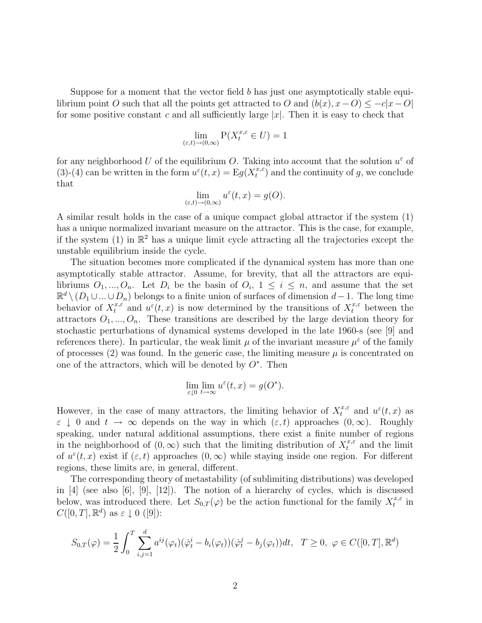Suppose for a moment that the vector field  $b$  has just one asymptotically stable equilibrium point O such that all the points get attracted to O and  $(b(x), x - O) \leq -c|x - O|$ for some positive constant c and all sufficiently large  $|x|$ . Then it is easy to check that

$$
\lim_{(\varepsilon,t)\to(0,\infty)} P(X_t^{x,\varepsilon} \in U) = 1
$$

for any neighborhood U of the equilibrium O. Taking into account that the solution  $u^{\varepsilon}$  of (3)-(4) can be written in the form  $u^{\varepsilon}(t,x) = Eg(X_t^{x,\varepsilon})$  and the continuity of g, we conclude that

$$
\lim_{(\varepsilon,t)\to(0,\infty)}u^\varepsilon(t,x)=g(O).
$$

A similar result holds in the case of a unique compact global attractor if the system (1) has a unique normalized invariant measure on the attractor. This is the case, for example, if the system (1) in  $\mathbb{R}^2$  has a unique limit cycle attracting all the trajectories except the unstable equilibrium inside the cycle.

The situation becomes more complicated if the dynamical system has more than one asymptotically stable attractor. Assume, for brevity, that all the attractors are equilibriums  $O_1, ..., O_n$ . Let  $D_i$  be the basin of  $O_i$ ,  $1 \leq i \leq n$ , and assume that the set  $\mathbb{R}^d \setminus (D_1 \cup ... \cup D_n)$  belongs to a finite union of surfaces of dimension  $d-1$ . The long time behavior of  $X_t^{x,\varepsilon}$  and  $u^{\varepsilon}(t,x)$  is now determined by the transitions of  $X_t^{x,\varepsilon}$  between the attractors  $O_1, ..., O_n$ . These transitions are described by the large deviation theory for stochastic perturbations of dynamical systems developed in the late 1960-s (see [9] and references there). In particular, the weak limit  $\mu$  of the invariant measure  $\mu^{\varepsilon}$  of the family of processes (2) was found. In the generic case, the limiting measure  $\mu$  is concentrated on one of the attractors, which will be denoted by  $O^*$ . Then

$$
\lim_{\varepsilon \downarrow 0} \lim_{t \to \infty} u^{\varepsilon}(t, x) = g(O^*).
$$

However, in the case of many attractors, the limiting behavior of  $X_t^{x,\varepsilon}$  and  $u^{\varepsilon}(t,x)$  as  $\varepsilon \downarrow 0$  and  $t \to \infty$  depends on the way in which  $(\varepsilon, t)$  approaches  $(0, \infty)$ . Roughly speaking, under natural additional assumptions, there exist a finite number of regions in the neighborhood of  $(0, \infty)$  such that the limiting distribution of  $X_t^{x,\varepsilon}$  and the limit of  $u^{\varepsilon}(t, x)$  exist if  $(\varepsilon, t)$  approaches  $(0, \infty)$  while staying inside one region. For different regions, these limits are, in general, different.

The corresponding theory of metastability (of sublimiting distributions) was developed in [4] (see also [6], [9], [12]). The notion of a hierarchy of cycles, which is discussed below, was introduced there. Let  $S_{0,T}(\varphi)$  be the action functional for the family  $X_t^{x,\varepsilon}$  in  $C([0,T], \mathbb{R}^d)$  as  $\varepsilon \downarrow 0$  ([9]):

$$
S_{0,T}(\varphi) = \frac{1}{2} \int_0^T \sum_{i,j=1}^d a^{ij}(\varphi_t)(\dot{\varphi}_t^i - b_i(\varphi_t))(\dot{\varphi}_t^j - b_j(\varphi_t))dt, \quad T \ge 0, \ \varphi \in C([0,T], \mathbb{R}^d)
$$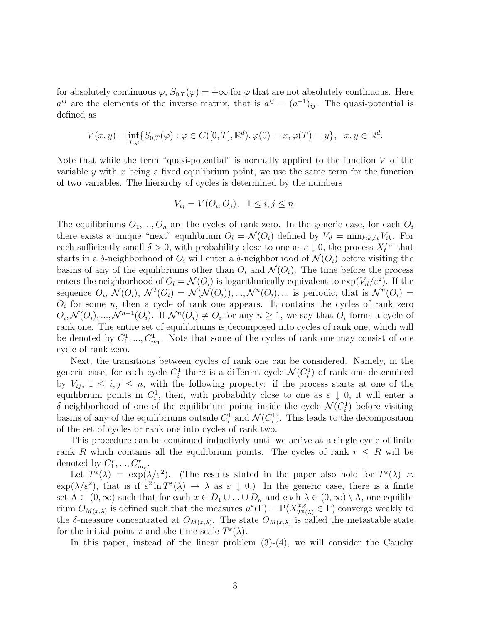for absolutely continuous  $\varphi$ ,  $S_{0,T}(\varphi)=+\infty$  for  $\varphi$  that are not absolutely continuous. Here  $a^{ij}$  are the elements of the inverse matrix, that is  $a^{ij} = (a^{-1})_{ii}$ . The quasi-potential is defined as

$$
V(x, y) = \inf_{T, \varphi} \{ S_{0,T}(\varphi) : \varphi \in C([0, T], \mathbb{R}^d), \varphi(0) = x, \varphi(T) = y \}, \quad x, y \in \mathbb{R}^d.
$$

Note that while the term "quasi-potential" is normally applied to the function  $V$  of the variable y with x being a fixed equilibrium point, we use the same term for the function of two variables. The hierarchy of cycles is determined by the numbers

$$
V_{ij} = V(O_i, O_j), \quad 1 \le i, j \le n.
$$

The equilibriums  $O_1, ..., O_n$  are the cycles of rank zero. In the generic case, for each  $O_i$ there exists a unique "next" equilibrium  $O_l = \mathcal{N}(O_i)$  defined by  $V_{il} = \min_{k:k\neq i} V_{ik}$ . For each sufficiently small  $\delta > 0$ , with probability close to one as  $\varepsilon \downarrow 0$ , the process  $X_t^{x,\varepsilon}$  that starts in a δ-neighborhood of  $O_i$  will enter a δ-neighborhood of  $\mathcal{N}(O_i)$  before visiting the basins of any of the equilibriums other than  $O_i$  and  $\mathcal{N}(O_i)$ . The time before the process enters the neighborhood of  $O_l = \mathcal{N}(O_i)$  is logarithmically equivalent to  $\exp(V_{il}/\varepsilon^2)$ . If the sequence  $O_i$ ,  $\mathcal{N}(O_i)$ ,  $\mathcal{N}^2(O_i) = \mathcal{N}(\mathcal{N}(O_i))$ , ...,  $\mathcal{N}^n(O_i)$ , ... is periodic, that is  $\mathcal{N}^n(O_i)$  $O_i$  for some n, then a cycle of rank one appears. It contains the cycles of rank zero  $O_i, \mathcal{N}(O_i), ..., \mathcal{N}^{n-1}(O_i)$ . If  $\mathcal{N}^n(O_i) \neq O_i$  for any  $n \geq 1$ , we say that  $O_i$  forms a cycle of rank one. The entire set of equilibriums is decomposed into cycles of rank one, which will be denoted by  $C_1^1, ..., C_{m_1}^1$ . Note that some of the cycles of rank one may consist of one cycle of rank zero.

Next, the transitions between cycles of rank one can be considered. Namely, in the generic case, for each cycle  $C_i^1$  there is a different cycle  $\mathcal{N}(C_i^1)$  of rank one determined by  $V_{ij}$ ,  $1 \leq i, j \leq n$ , with the following property: if the process starts at one of the equilibrium points in  $C_i^1$ , then, with probability close to one as  $\varepsilon \downarrow 0$ , it will enter a δ-neighborhood of one of the equilibrium points inside the cycle  $\mathcal{N}(C_i^1)$  before visiting basins of any of the equilibriums outside  $C_i^1$  and  $\mathcal{N}(C_i^1)$ . This leads to the decomposition of the set of cycles or rank one into cycles of rank two.

This procedure can be continued inductively until we arrive at a single cycle of finite rank R which contains all the equilibrium points. The cycles of rank  $r \leq R$  will be denoted by  $C_1^r, ..., C_{m_r}^r$ .

Let  $T^{\varepsilon}(\lambda) = \exp(\lambda/\varepsilon^2)$ . (The results stated in the paper also hold for  $T^{\varepsilon}(\lambda) \approx$  $\exp(\lambda/\varepsilon^2)$ , that is if  $\varepsilon^2 \ln T^{\varepsilon}(\lambda) \to \lambda$  as  $\varepsilon \downarrow 0$ .) In the generic case, there is a finite set  $\Lambda \subset (0,\infty)$  such that for each  $x \in D_1 \cup ... \cup D_n$  and each  $\lambda \in (0,\infty) \setminus \Lambda$ , one equilibrium  $O_{M(x,\lambda)}$  is defined such that the measures  $\mu^{\varepsilon}(\Gamma) = P(X_{T^{\varepsilon}(\lambda)}^{x,\varepsilon} \in \Gamma)$  converge weakly to the  $\delta$ -measure concentrated at  $O_{M(x,\lambda)}$ . The state  $O_{M(x,\lambda)}$  is called the metastable state for the initial point x and the time scale  $T^{\varepsilon}(\lambda)$ .

In this paper, instead of the linear problem  $(3)-(4)$ , we will consider the Cauchy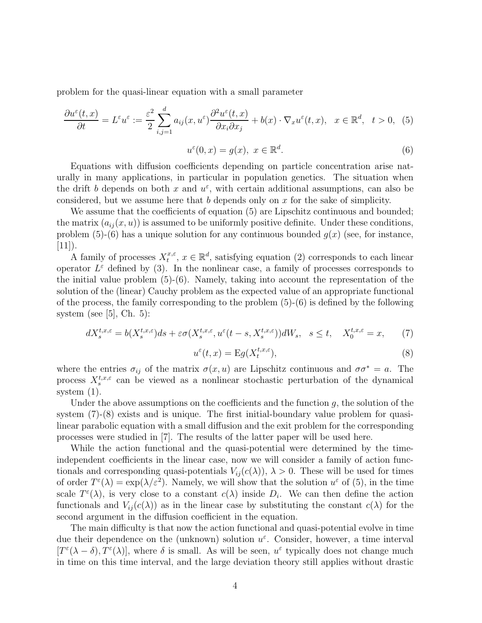problem for the quasi-linear equation with a small parameter

$$
\frac{\partial u^{\varepsilon}(t,x)}{\partial t} = L^{\varepsilon} u^{\varepsilon} := \frac{\varepsilon^{2}}{2} \sum_{i,j=1}^{d} a_{ij}(x, u^{\varepsilon}) \frac{\partial^{2} u^{\varepsilon}(t,x)}{\partial x_{i} \partial x_{j}} + b(x) \cdot \nabla_{x} u^{\varepsilon}(t,x), \quad x \in \mathbb{R}^{d}, \quad t > 0, \tag{5}
$$

$$
u^{\varepsilon}(0, x) = g(x), \ x \in \mathbb{R}^d. \tag{6}
$$

Equations with diffusion coefficients depending on particle concentration arise naturally in many applications, in particular in population genetics. The situation when the drift b depends on both x and  $u^{\varepsilon}$ , with certain additional assumptions, can also be considered, but we assume here that b depends only on  $x$  for the sake of simplicity.

We assume that the coefficients of equation  $(5)$  are Lipschitz continuous and bounded; the matrix  $(a_{ij}(x, u))$  is assumed to be uniformly positive definite. Under these conditions, problem  $(5)-(6)$  has a unique solution for any continuous bounded  $q(x)$  (see, for instance,  $[11]$ .

A family of processes  $X_t^{x,\varepsilon}$ ,  $x \in \mathbb{R}^d$ , satisfying equation (2) corresponds to each linear operator  $L^{\varepsilon}$  defined by (3). In the nonlinear case, a family of processes corresponds to the initial value problem (5)-(6). Namely, taking into account the representation of the solution of the (linear) Cauchy problem as the expected value of an appropriate functional of the process, the family corresponding to the problem (5)-(6) is defined by the following system (see  $|5|$ , Ch. 5):

$$
dX_s^{t,x,\varepsilon} = b(X_s^{t,x,\varepsilon})ds + \varepsilon \sigma(X_s^{t,x,\varepsilon}, u^{\varepsilon}(t-s,X_s^{t,x,\varepsilon}))dW_s, \quad s \le t, \quad X_0^{t,x,\varepsilon} = x,\tag{7}
$$

$$
u^{\varepsilon}(t,x) = \mathcal{E}g(X_t^{t,x,\varepsilon}),\tag{8}
$$

where the entries  $\sigma_{ij}$  of the matrix  $\sigma(x, u)$  are Lipschitz continuous and  $\sigma \sigma^* = a$ . The process  $X_s^{t,x,\varepsilon}$  can be viewed as a nonlinear stochastic perturbation of the dynamical system (1).

Under the above assumptions on the coefficients and the function  $g$ , the solution of the system (7)-(8) exists and is unique. The first initial-boundary value problem for quasilinear parabolic equation with a small diffusion and the exit problem for the corresponding processes were studied in [7]. The results of the latter paper will be used here.

While the action functional and the quasi-potential were determined by the timeindependent coefficients in the linear case, now we will consider a family of action functionals and corresponding quasi-potentials  $V_{ii}(c(\lambda))$ ,  $\lambda > 0$ . These will be used for times of order  $T^{\varepsilon}(\lambda) = \exp(\lambda/\varepsilon^2)$ . Namely, we will show that the solution  $u^{\varepsilon}$  of (5), in the time scale  $T^{\varepsilon}(\lambda)$ , is very close to a constant  $c(\lambda)$  inside  $D_i$ . We can then define the action functionals and  $V_{ij}(c(\lambda))$  as in the linear case by substituting the constant  $c(\lambda)$  for the second argument in the diffusion coefficient in the equation.

The main difficulty is that now the action functional and quasi-potential evolve in time due their dependence on the (unknown) solution  $u^{\varepsilon}$ . Consider, however, a time interval  $[T^{\varepsilon}(\lambda-\delta), T^{\varepsilon}(\lambda)]$ , where  $\delta$  is small. As will be seen,  $u^{\varepsilon}$  typically does not change much in time on this time interval, and the large deviation theory still applies without drastic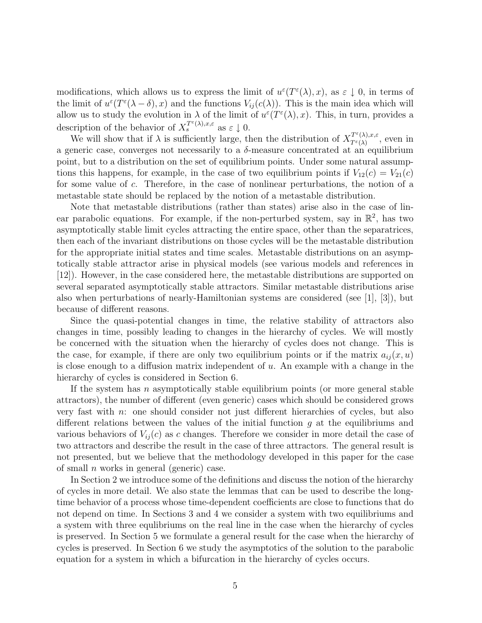modifications, which allows us to express the limit of  $u^{\varepsilon}(T^{\varepsilon}(\lambda),x)$ , as  $\varepsilon \downarrow 0$ , in terms of the limit of  $u^{\varepsilon}(T^{\varepsilon}(\lambda - \delta), x)$  and the functions  $V_{ij}(c(\lambda))$ . This is the main idea which will allow us to study the evolution in  $\lambda$  of the limit of  $u^{\varepsilon}(T^{\varepsilon}(\lambda),x)$ . This, in turn, provides a description of the behavior of  $X_s^{T^{\varepsilon}(\lambda),x,\varepsilon}$  as  $\varepsilon \downarrow 0$ .

We will show that if  $\lambda$  is sufficiently large, then the distribution of  $X^{T^{\varepsilon}(\lambda),x,\varepsilon}_{T^{\varepsilon}(\lambda)},$  even in a generic case, converges not necessarily to a  $\delta$ -measure concentrated at an equilibrium point, but to a distribution on the set of equilibrium points. Under some natural assumptions this happens, for example, in the case of two equilibrium points if  $V_{12}(c) = V_{21}(c)$ for some value of c. Therefore, in the case of nonlinear perturbations, the notion of a metastable state should be replaced by the notion of a metastable distribution.

Note that metastable distributions (rather than states) arise also in the case of linear parabolic equations. For example, if the non-perturbed system, say in  $\mathbb{R}^2$ , has two asymptotically stable limit cycles attracting the entire space, other than the separatrices, then each of the invariant distributions on those cycles will be the metastable distribution for the appropriate initial states and time scales. Metastable distributions on an asymptotically stable attractor arise in physical models (see various models and references in [12]). However, in the case considered here, the metastable distributions are supported on several separated asymptotically stable attractors. Similar metastable distributions arise also when perturbations of nearly-Hamiltonian systems are considered (see [1], [3]), but because of different reasons.

Since the quasi-potential changes in time, the relative stability of attractors also changes in time, possibly leading to changes in the hierarchy of cycles. We will mostly be concerned with the situation when the hierarchy of cycles does not change. This is the case, for example, if there are only two equilibrium points or if the matrix  $a_{ij}(x, u)$ is close enough to a diffusion matrix independent of  $u$ . An example with a change in the hierarchy of cycles is considered in Section 6.

If the system has  $n$  asymptotically stable equilibrium points (or more general stable attractors), the number of different (even generic) cases which should be considered grows very fast with n: one should consider not just different hierarchies of cycles, but also different relations between the values of the initial function  $g$  at the equilibriums and various behaviors of  $V_{ij}(c)$  as c changes. Therefore we consider in more detail the case of two attractors and describe the result in the case of three attractors. The general result is not presented, but we believe that the methodology developed in this paper for the case of small  $n$  works in general (generic) case.

In Section 2 we introduce some of the definitions and discuss the notion of the hierarchy of cycles in more detail. We also state the lemmas that can be used to describe the longtime behavior of a process whose time-dependent coefficients are close to functions that do not depend on time. In Sections 3 and 4 we consider a system with two equilibriums and a system with three equlibriums on the real line in the case when the hierarchy of cycles is preserved. In Section 5 we formulate a general result for the case when the hierarchy of cycles is preserved. In Section 6 we study the asymptotics of the solution to the parabolic equation for a system in which a bifurcation in the hierarchy of cycles occurs.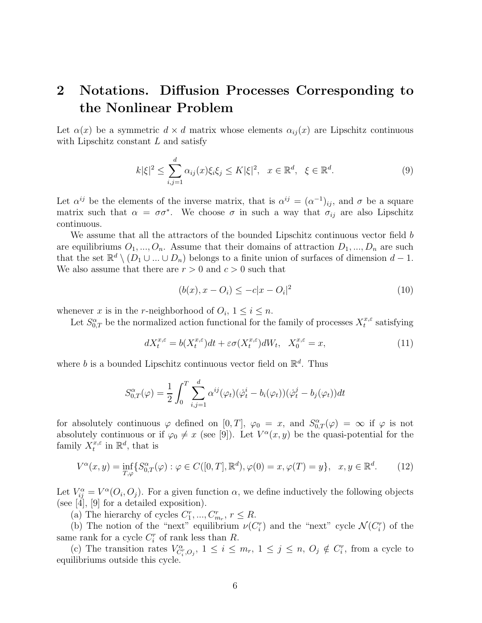## **2 Notations. Diffusion Processes Corresponding to the Nonlinear Problem**

Let  $\alpha(x)$  be a symmetric  $d \times d$  matrix whose elements  $\alpha_{ij}(x)$  are Lipschitz continuous with Lipschitz constant  $L$  and satisfy

$$
k|\xi|^2 \le \sum_{i,j=1}^d \alpha_{ij}(x)\xi_i\xi_j \le K|\xi|^2, \quad x \in \mathbb{R}^d, \quad \xi \in \mathbb{R}^d. \tag{9}
$$

Let  $\alpha^{ij}$  be the elements of the inverse matrix, that is  $\alpha^{ij} = (\alpha^{-1})_{ij}$ , and  $\sigma$  be a square matrix such that  $\alpha = \sigma \sigma^*$ . We choose  $\sigma$  in such a way that  $\sigma_{ij}$  are also Lipschitz continuous.

We assume that all the attractors of the bounded Lipschitz continuous vector field  $b$ are equilibriums  $O_1, ..., O_n$ . Assume that their domains of attraction  $D_1, ..., D_n$  are such that the set  $\mathbb{R}^d \setminus (D_1 \cup ... \cup D_n)$  belongs to a finite union of surfaces of dimension  $d-1$ . We also assume that there are  $r > 0$  and  $c > 0$  such that

$$
(b(x), x - O_i) \le -c|x - O_i|^2 \tag{10}
$$

whenever x is in the r-neighborhood of  $O_i$ ,  $1 \leq i \leq n$ .

Let  $S_{0,T}^{\alpha}$  be the normalized action functional for the family of processes  $X_t^{x,\varepsilon}$  satisfying

$$
dX_t^{x,\varepsilon} = b(X_t^{x,\varepsilon})dt + \varepsilon \sigma(X_t^{x,\varepsilon})dW_t, \quad X_0^{x,\varepsilon} = x,\tag{11}
$$

where b is a bounded Lipschitz continuous vector field on  $\mathbb{R}^d$ . Thus

$$
S_{0,T}^{\alpha}(\varphi) = \frac{1}{2} \int_0^T \sum_{i,j=1}^d \alpha^{ij}(\varphi_t) (\dot{\varphi}_t^i - b_i(\varphi_t)) (\dot{\varphi}_t^j - b_j(\varphi_t)) dt
$$

for absolutely continuous  $\varphi$  defined on  $[0,T]$ ,  $\varphi_0 = x$ , and  $S_{0,T}^{\alpha}(\varphi) = \infty$  if  $\varphi$  is not absolutely continuous or if  $\varphi_0 \neq x$  (see [9]). Let  $V^{\alpha}(x, y)$  be the quasi-potential for the family  $X_t^{\tilde{x},\varepsilon}$  in  $\mathbb{R}^d$ , that is

$$
V^{\alpha}(x, y) = \inf_{T, \varphi} \{ S^{\alpha}_{0,T}(\varphi) : \varphi \in C([0, T], \mathbb{R}^d), \varphi(0) = x, \varphi(T) = y \}, \quad x, y \in \mathbb{R}^d. \tag{12}
$$

Let  $V_{ii}^{\alpha} = V^{\alpha}(O_i, O_j)$ . For a given function  $\alpha$ , we define inductively the following objects (see [4], [9] for a detailed exposition).

(a) The hierarchy of cycles  $C_1^r, ..., C_{m_r}^r, r \leq R$ .

(b) The notion of the "next" equilibrium  $\nu(C_i^r)$  and the "next" cycle  $\mathcal{N}(C_i^r)$  of the same rank for a cycle  $C_i^r$  of rank less than R.

(c) The transition rates  $V_{C_i^r, O_j}^{\alpha}$ ,  $1 \leq i \leq m_r$ ,  $1 \leq j \leq n$ ,  $O_j \notin C_i^r$ , from a cycle to equilibriums outside this cycle.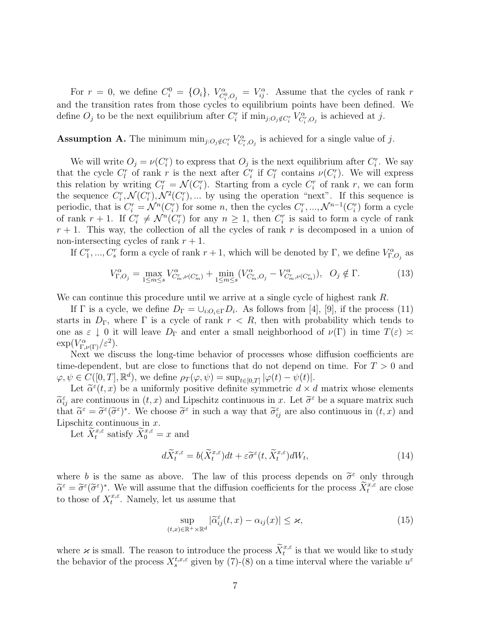For  $r = 0$ , we define  $C_i^0 = \{O_i\}$ ,  $V_{C_i^0, O_j}^\alpha = V_{ij}^\alpha$ . Assume that the cycles of rank r and the transition rates from those cycles to equilibrium points have been defined. We define  $O_j$  to be the next equilibrium after  $C_i^r$  if  $\min_{j:O_j \notin C_i^r} V_{C_i^r,O_j}^{\alpha}$  is achieved at j.

### **Assumption A.** The minimum  $\min_{j: O_j \notin C_i^r} V_{C_i^r, O_j}^{\alpha}$  is achieved for a single value of j.

We will write  $O_i = \nu(C_i^r)$  to express that  $O_i$  is the next equilibrium after  $C_i^r$ . We say that the cycle  $C_l^r$  of rank r is the next after  $C_i^r$  if  $C_l^r$  contains  $\nu(C_i^r)$ . We will express this relation by writing  $C_l^r = \mathcal{N}(C_l^r)$ . Starting from a cycle  $C_l^r$  of rank r, we can form the sequence  $C_i^r, \mathcal{N}(C_i^r), \mathcal{N}^2(C_i^r), \dots$  by using the operation "next". If this sequence is periodic, that is  $C_i^r = \mathcal{N}^n(C_i^r)$  for some n, then the cycles  $C_i^r, ..., \mathcal{N}^{n-1}(C_i^r)$  form a cycle of rank  $r + 1$ . If  $C_i^r \neq \mathcal{N}^n(C_i^r)$  for any  $n \geq 1$ , then  $C_i^r$  is said to form a cycle of rank  $r + 1$ . This way, the collection of all the cycles of rank r is decomposed in a union of non-intersecting cycles of rank  $r + 1$ .

If  $C_1^r, ..., C_s^r$  form a cycle of rank  $r + 1$ , which will be denoted by  $\Gamma$ , we define  $V_{\Gamma, O_j}^{\alpha}$  as

$$
V_{\Gamma,O_j}^{\alpha} = \max_{1 \le m \le s} V_{C_m^r, \nu(C_m^r)}^{\alpha} + \min_{1 \le m \le s} (V_{C_m^r, O_j}^{\alpha} - V_{C_m^r, \nu(C_m^r)}^{\alpha}), \quad O_j \notin \Gamma. \tag{13}
$$

We can continue this procedure until we arrive at a single cycle of highest rank R.

If  $\Gamma$  is a cycle, we define  $D_{\Gamma} = \bigcup_{i:O_i \in \Gamma} D_i$ . As follows from [4], [9], if the process (11) starts in  $D_{\Gamma}$ , where  $\Gamma$  is a cycle of rank  $r < R$ , then with probability which tends to one as  $\varepsilon \downarrow 0$  it will leave  $D_{\Gamma}$  and enter a small neighborhood of  $\nu(\Gamma)$  in time  $T(\varepsilon) \approx$  $\exp(V_{\Gamma,\nu(\Gamma)}^{\alpha}/\varepsilon^2)$ .

Next we discuss the long-time behavior of processes whose diffusion coefficients are time-dependent, but are close to functions that do not depend on time. For  $T > 0$  and  $\varphi, \psi \in C([0, T], \mathbb{R}^d)$ , we define  $\rho_T(\varphi, \psi) = \sup_{t \in [0, T]} |\varphi(t) - \psi(t)|$ .

Let  $\tilde{\alpha}^{\varepsilon}(t, x)$  be a uniformly positive definite symmetric  $d \times d$  matrix whose elements  $\widetilde{\alpha}_{ij}^{\varepsilon}$  are continuous in  $(t, x)$  and Lipschitz continuous in x. Let  $\widetilde{\sigma}^{\varepsilon}$  be a square matrix such that  $\tilde{\alpha}^{\varepsilon} = \tilde{\sigma}^{\varepsilon}(\tilde{\sigma}^{\varepsilon})^*$ . We choose  $\tilde{\sigma}^{\varepsilon}$  in such a way that  $\tilde{\sigma}_{ij}^{\varepsilon}$  are also continuous in  $(t, x)$  and Lipschitz continuous in  $x$ .

Let  $\widetilde{X}_t^{x,\varepsilon}$  satisfy  $\widetilde{X}_0^{x,\varepsilon} = x$  and

$$
d\widetilde{X}^{x,\varepsilon}_t = b(\widetilde{X}^{x,\varepsilon}_t)dt + \varepsilon \widetilde{\sigma}^{\varepsilon}(t, \widetilde{X}^{x,\varepsilon}_t)dW_t,
$$
\n(14)

where b is the same as above. The law of this process depends on  $\tilde{\sigma}^{\varepsilon}$  only through  $\widetilde{\alpha}^{\varepsilon} = \widetilde{\sigma}^{\varepsilon}(\widetilde{\sigma}^{\varepsilon})^*$ . We will assume that the diffusion coefficients for the process  $\widetilde{X}_{t}^{x,\widetilde{\varepsilon}}$  are close to those of  $X_t^{x,\varepsilon}$ . Namely, let us assume that

$$
\sup_{(t,x)\in\mathbb{R}^+\times\mathbb{R}^d}|\widetilde{\alpha}_{ij}^{\varepsilon}(t,x)-\alpha_{ij}(x)|\leq\varkappa,
$$
\n(15)

where  $\varkappa$  is small. The reason to introduce the process  $\widetilde{X}^{x,\varepsilon}_t$  is that we would like to study the behavior of the process  $X_s^{t,x,\varepsilon}$  given by (7)-(8) on a time interval where the variable  $u^{\varepsilon}$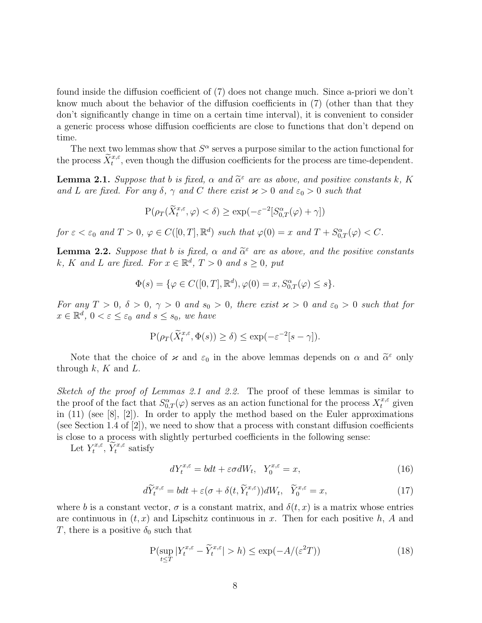found inside the diffusion coefficient of (7) does not change much. Since a-priori we don't know much about the behavior of the diffusion coefficients in (7) (other than that they don't significantly change in time on a certain time interval), it is convenient to consider a generic process whose diffusion coefficients are close to functions that don't depend on time.

The next two lemmas show that  $S^{\alpha}$  serves a purpose similar to the action functional for the process  $\tilde{X}^{x,\varepsilon}_t$ , even though the diffusion coefficients for the process are time-dependent.

**Lemma 2.1.** Suppose that b is fixed,  $\alpha$  and  $\tilde{\alpha}^{\varepsilon}$  are as above, and positive constants k, K and L are fixed. For any  $\delta$ ,  $\gamma$  and C there exist  $\varkappa > 0$  and  $\varepsilon_0 > 0$  such that

$$
P(\rho_T(\widetilde{X}^{x,\varepsilon}_t,\varphi)<\delta)\geq \exp(-\varepsilon^{-2}[S^\alpha_{0,T}(\varphi)+\gamma])
$$

for  $\varepsilon < \varepsilon_0$  and  $T > 0$ ,  $\varphi \in C([0, T], \mathbb{R}^d)$  such that  $\varphi(0) = x$  and  $T + S^{\alpha}_{0,T}(\varphi) < C$ .

**Lemma 2.2.** Suppose that b is fixed,  $\alpha$  and  $\tilde{\alpha}^{\varepsilon}$  are as above, and the positive constants k, K and L are fixed. For  $x \in \mathbb{R}^d$ ,  $T > 0$  and  $s \ge 0$ , put

$$
\Phi(s) = \{ \varphi \in C([0,T],\mathbb{R}^d), \varphi(0) = x, S^{\alpha}_{0,T}(\varphi) \le s \}.
$$

For any  $T > 0$ ,  $\delta > 0$ ,  $\gamma > 0$  and  $s_0 > 0$ , there exist  $\varkappa > 0$  and  $\varepsilon_0 > 0$  such that for  $x \in \mathbb{R}^d$ ,  $0 < \varepsilon \leq \varepsilon_0$  and  $s \leq s_0$ , we have

$$
\mathbf{P}(\rho_T(\widetilde{X}^{x,\varepsilon}_t,\Phi(s))\geq \delta)\leq \exp(-\varepsilon^{-2}[s-\gamma]).
$$

Note that the choice of  $\varkappa$  and  $\varepsilon_0$  in the above lemmas depends on  $\alpha$  and  $\tilde{\alpha}^{\varepsilon}$  only through  $k, K$  and  $L$ .

Sketch of the proof of Lemmas 2.1 and 2.2. The proof of these lemmas is similar to the proof of the fact that  $S^{\alpha}_{0,T}(\varphi)$  serves as an action functional for the process  $X_t^{x,\varepsilon}$  given in (11) (see [8], [2]). In order to apply the method based on the Euler approximations (see Section 1.4 of  $[2]$ ), we need to show that a process with constant diffusion coefficients is close to a process with slightly perturbed coefficients in the following sense:

Let  $Y_t^{x,\varepsilon}$ ,  $\widetilde{Y}_t^{x,\varepsilon}$  satisfy

$$
dY_t^{x,\varepsilon} = bdt + \varepsilon \sigma dW_t, \quad Y_0^{x,\varepsilon} = x,\tag{16}
$$

$$
d\widetilde{Y}_t^{x,\varepsilon} = bdt + \varepsilon(\sigma + \delta(t, \widetilde{Y}_t^{x,\varepsilon}))dW_t, \quad \widetilde{Y}_0^{x,\varepsilon} = x,
$$
\n(17)

where b is a constant vector,  $\sigma$  is a constant matrix, and  $\delta(t, x)$  is a matrix whose entries are continuous in  $(t, x)$  and Lipschitz continuous in x. Then for each positive h, A and T, there is a positive  $\delta_0$  such that

$$
P(\sup_{t \le T} |Y_t^{x,\varepsilon} - \widetilde{Y}_t^{x,\varepsilon}| > h) \le \exp(-A/(\varepsilon^2 T))
$$
\n(18)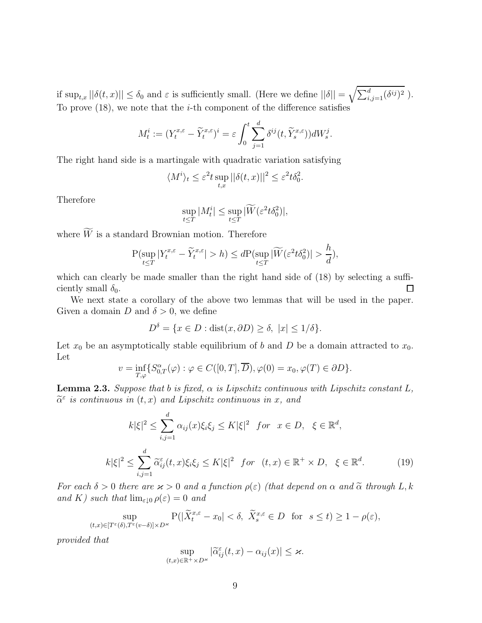if  $\sup_{t,x} ||\delta(t,x)|| \leq \delta_0$  and  $\varepsilon$  is sufficiently small. (Here we define  $||\delta|| = \sqrt{\sum_{i,j=1}^d (\delta^{ij})^2}$ ). To prove  $(18)$ , we note that the *i*-th component of the difference satisfies

$$
M_t^i:=(Y_t^{x,\varepsilon}-\widetilde Y_t^{x,\varepsilon})^i=\varepsilon\int_0^t\sum_{j=1}^d\delta^{ij}(t,\widetilde Y_s^{x,\varepsilon}))dW_s^j.
$$

The right hand side is a martingale with quadratic variation satisfying

$$
\langle M^i \rangle_t \leq \varepsilon^2 t \sup_{t,x} ||\delta(t,x)||^2 \leq \varepsilon^2 t \delta_0^2.
$$

Therefore

$$
\sup_{t\leq T}|M_t^i|\leq \sup_{t\leq T}|\widetilde{W}(\varepsilon^2 t\delta_0^2)|,
$$

where  $W$  is a standard Brownian motion. Therefore

$$
\mathbb{P}(\sup_{t \le T} |Y_t^{x,\varepsilon} - \widetilde{Y}_t^{x,\varepsilon}| > h) \le d\mathbb{P}(\sup_{t \le T} |\widetilde{W}(\varepsilon^2 t \delta_0^2)| > \frac{h}{d}),
$$

which can clearly be made smaller than the right hand side of  $(18)$  by selecting a sufficiently small  $\delta_0$ .  $\Box$ 

We next state a corollary of the above two lemmas that will be used in the paper. Given a domain D and  $\delta > 0$ , we define

$$
D^{\delta} = \{ x \in D : \text{dist}(x, \partial D) \ge \delta, \ |x| \le 1/\delta \}.
$$

Let  $x_0$  be an asymptotically stable equilibrium of b and D be a domain attracted to  $x_0$ . Let

$$
v = \inf_{T,\varphi} \{ S^{\alpha}_{0,T}(\varphi) : \varphi \in C([0,T], \overline{D}), \varphi(0) = x_0, \varphi(T) \in \partial D \}.
$$

**Lemma 2.3.** Suppose that b is fixed,  $\alpha$  is Lipschitz continuous with Lipschitz constant L,  $\tilde{\alpha}^{\varepsilon}$  is continuous in  $(t, x)$  and Lipschitz continuous in x, and

$$
k|\xi|^2 \le \sum_{i,j=1}^d \alpha_{ij}(x)\xi_i\xi_j \le K|\xi|^2 \quad \text{for} \quad x \in D, \quad \xi \in \mathbb{R}^d,
$$
  

$$
k|\xi|^2 \le \sum_{i,j=1}^d \widetilde{\alpha}_{ij}^{\varepsilon}(t,x)\xi_i\xi_j \le K|\xi|^2 \quad \text{for} \quad (t,x) \in \mathbb{R}^+ \times D, \quad \xi \in \mathbb{R}^d.
$$
 (19)

For each  $\delta > 0$  there are  $\varkappa > 0$  and a function  $\rho(\varepsilon)$  (that depend on  $\alpha$  and  $\tilde{\alpha}$  through L, k and K) such that  $\lim_{\varepsilon\downarrow0}\rho(\varepsilon)=0$  and

$$
\sup_{(t,x)\in[T^{\varepsilon}(\delta),T^{\varepsilon}(v-\delta)]\times D^{\varepsilon}}\mathbf{P}(|\widetilde{X}_{t}^{x,\varepsilon}-x_{0}|<\delta,\ \widetilde{X}_{s}^{x,\varepsilon}\in D\ \ \text{for}\ \ s\leq t)\geq1-\rho(\varepsilon),
$$

provided that

$$
\sup_{(t,x)\in\mathbb{R}^+\times D^{\varkappa}}|\widetilde{\alpha}_{ij}^{\varepsilon}(t,x)-\alpha_{ij}(x)|\leq \varkappa.
$$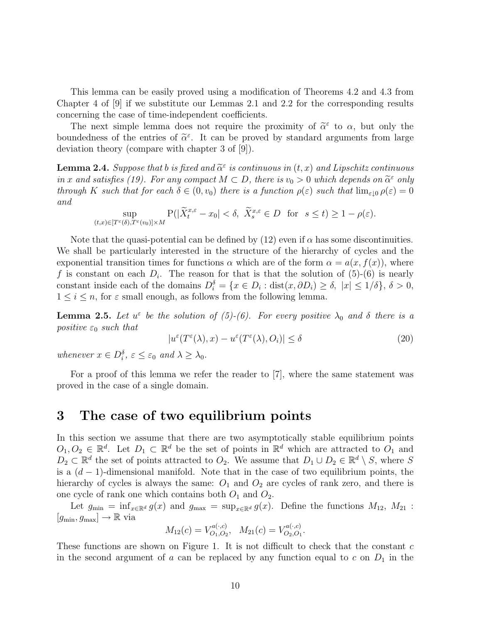This lemma can be easily proved using a modification of Theorems 4.2 and 4.3 from Chapter 4 of [9] if we substitute our Lemmas 2.1 and 2.2 for the corresponding results concerning the case of time-independent coefficients.

The next simple lemma does not require the proximity of  $\tilde{\alpha}^{\varepsilon}$  to  $\alpha$ , but only the boundedness of the entries of  $\tilde{\alpha}^{\varepsilon}$ . It can be proved by standard arguments from large deviation theory (compare with chapter 3 of [9]).

**Lemma 2.4.** Suppose that b is fixed and  $\tilde{\alpha}^{\varepsilon}$  is continuous in  $(t, x)$  and Lipschitz continuous in x and satisfies (19). For any compact  $M \subset D$ , there is  $v_0 > 0$  which depends on  $\tilde{\alpha}^{\varepsilon}$  only through K such that for each  $\delta \in (0, v_0)$  there is a function  $\rho(\varepsilon)$  such that  $\lim_{\varepsilon \to 0} \rho(\varepsilon) = 0$ and

$$
\sup_{(t,x)\in[T^\varepsilon(\delta),T^\varepsilon(v_0)]\times M}\mathbf{P}(|\widetilde X^{x,\varepsilon}_t-x_0|<\delta,\ \widetilde X^{x,\varepsilon}_s\in D\ \ \text{for}\ \ s\leq t)\geq 1-\rho(\varepsilon).
$$

Note that the quasi-potential can be defined by (12) even if  $\alpha$  has some discontinuities. We shall be particularly interested in the structure of the hierarchy of cycles and the exponential transition times for functions  $\alpha$  which are of the form  $\alpha = a(x, f(x))$ , where f is constant on each  $D_i$ . The reason for that is that the solution of  $(5)-(6)$  is nearly constant inside each of the domains  $D_i^{\delta} = \{x \in D_i : \text{dist}(x, \partial D_i) \ge \delta, |x| \le 1/\delta\}, \delta > 0,$  $1 \leq i \leq n$ , for  $\varepsilon$  small enough, as follows from the following lemma.

**Lemma 2.5.** Let  $u^{\varepsilon}$  be the solution of (5)-(6). For every positive  $\lambda_0$  and  $\delta$  there is a positive  $\varepsilon_0$  such that

$$
|u^{\varepsilon}(T^{\varepsilon}(\lambda),x) - u^{\varepsilon}(T^{\varepsilon}(\lambda),O_{i})| \le \delta
$$
\n(20)

whenever  $x \in D_i^{\delta}$ ,  $\varepsilon \leq \varepsilon_0$  and  $\lambda \geq \lambda_0$ .

For a proof of this lemma we refer the reader to [7], where the same statement was proved in the case of a single domain.

#### **3 The case of two equilibrium points**

In this section we assume that there are two asymptotically stable equilibrium points  $O_1, O_2 \in \mathbb{R}^d$ . Let  $D_1 \subset \mathbb{R}^d$  be the set of points in  $\mathbb{R}^d$  which are attracted to  $O_1$  and  $D_2 \subset \mathbb{R}^d$  the set of points attracted to  $O_2$ . We assume that  $D_1 \cup D_2 \in \mathbb{R}^d \setminus S$ , where S is a  $(d-1)$ -dimensional manifold. Note that in the case of two equilibrium points, the hierarchy of cycles is always the same:  $O_1$  and  $O_2$  are cycles of rank zero, and there is one cycle of rank one which contains both  $O_1$  and  $O_2$ .

Let  $g_{\min} = \inf_{x \in \mathbb{R}^d} g(x)$  and  $g_{\max} = \sup_{x \in \mathbb{R}^d} g(x)$ . Define the functions  $M_{12}$ ,  $M_{21}$ :  $[g_{\text{min}}, g_{\text{max}}] \rightarrow \mathbb{R}$  via

$$
M_{12}(c) = V_{O_1,O_2}^{a(\cdot,c)}, \quad M_{21}(c) = V_{O_2,O_1}^{a(\cdot,c)}.
$$

These functions are shown on Figure 1. It is not difficult to check that the constant  $c$ in the second argument of  $a$  can be replaced by any function equal to  $c$  on  $D_1$  in the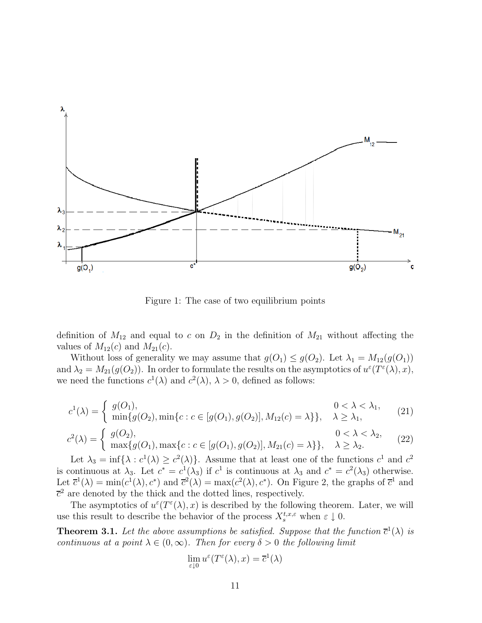

Figure 1: The case of two equilibrium points

definition of  $M_{12}$  and equal to c on  $D_2$  in the definition of  $M_{21}$  without affecting the values of  $M_{12}(c)$  and  $M_{21}(c)$ .

Without loss of generality we may assume that  $g(O_1) \leq g(O_2)$ . Let  $\lambda_1 = M_{12}(g(O_1))$ and  $\lambda_2 = M_{21}(g(O_2))$ . In order to formulate the results on the asymptotics of  $u^{\varepsilon}(T^{\varepsilon}(\lambda), x)$ , we need the functions  $c^1(\lambda)$  and  $c^2(\lambda)$ ,  $\lambda > 0$ , defined as follows:

$$
c^{1}(\lambda) = \begin{cases} g(O_{1}), & 0 < \lambda < \lambda_{1}, \\ \min\{g(O_{2}), \min\{c : c \in [g(O_{1}), g(O_{2})], M_{12}(c) = \lambda\}\}, & \lambda \geq \lambda_{1}, \end{cases}
$$
(21)

$$
c^{2}(\lambda) = \begin{cases} g(O_{2}), & 0 < \lambda < \lambda_{2}, \\ \max\{g(O_{1}), \max\{c : c \in [g(O_{1}), g(O_{2})], M_{21}(c) = \lambda\}\}, & \lambda \geq \lambda_{2}. \end{cases}
$$
 (22)

Let  $\lambda_3 = \inf{\lambda : c^1(\lambda) \ge c^2(\lambda)}$ . Assume that at least one of the functions  $c^1$  and  $c^2$ is continuous at  $\lambda_3$ . Let  $c^* = c^1(\lambda_3)$  if  $c^1$  is continuous at  $\lambda_3$  and  $c^* = c^2(\lambda_3)$  otherwise. Let  $\overline{c}^1(\lambda) = \min(c^1(\lambda), c^*)$  and  $\overline{c}^2(\lambda) = \max(c^2(\lambda), c^*)$ . On Figure 2, the graphs of  $\overline{c}^1$  and  $\bar{c}^2$  are denoted by the thick and the dotted lines, respectively.

The asymptotics of  $u^{\varepsilon}(T^{\varepsilon}(\lambda),x)$  is described by the following theorem. Later, we will use this result to describe the behavior of the process  $X_s^{t,x,\varepsilon}$  when  $\varepsilon \downarrow 0$ .

**Theorem 3.1.** Let the above assumptions be satisfied. Suppose that the function  $\bar{c}^1(\lambda)$  is continuous at a point  $\lambda \in (0,\infty)$ . Then for every  $\delta > 0$  the following limit

$$
\lim_{\varepsilon \downarrow 0} u^{\varepsilon}(T^{\varepsilon}(\lambda), x) = \overline{c}^{1}(\lambda)
$$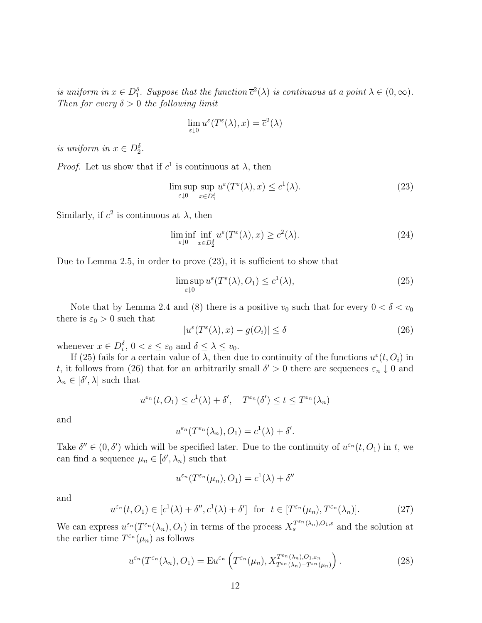is uniform in  $x \in D_1^{\delta}$ . Suppose that the function  $\overline{c}^2(\lambda)$  is continuous at a point  $\lambda \in (0, \infty)$ . Then for every  $\delta > 0$  the following limit

$$
\lim_{\varepsilon \downarrow 0} u^{\varepsilon}(T^{\varepsilon}(\lambda), x) = \overline{c}^{2}(\lambda)
$$

is uniform in  $x \in D_2^{\delta}$ .

*Proof.* Let us show that if  $c^1$  is continuous at  $\lambda$ , then

$$
\limsup_{\varepsilon \downarrow 0} \sup_{x \in D_1^{\delta}} u^{\varepsilon}(T^{\varepsilon}(\lambda), x) \le c^1(\lambda). \tag{23}
$$

Similarly, if  $c^2$  is continuous at  $\lambda$ , then

$$
\liminf_{\varepsilon \downarrow 0} \inf_{x \in D_2^{\delta}} u^{\varepsilon}(T^{\varepsilon}(\lambda), x) \ge c^2(\lambda). \tag{24}
$$

Due to Lemma 2.5, in order to prove (23), it is sufficient to show that

$$
\limsup_{\varepsilon \downarrow 0} u^{\varepsilon}(T^{\varepsilon}(\lambda), O_1) \leq c^1(\lambda),\tag{25}
$$

Note that by Lemma 2.4 and (8) there is a positive  $v_0$  such that for every  $0 < \delta < v_0$ there is  $\varepsilon_0 > 0$  such that

$$
|u^{\varepsilon}(T^{\varepsilon}(\lambda),x) - g(O_i)| \le \delta \tag{26}
$$

whenever  $x \in D_i^{\delta}$ ,  $0 < \varepsilon \leq \varepsilon_0$  and  $\delta \leq \lambda \leq v_0$ .

If (25) fails for a certain value of  $\lambda$ , then due to continuity of the functions  $u^{\varepsilon}(t, O_i)$  in t, it follows from (26) that for an arbitrarily small  $\delta' > 0$  there are sequences  $\varepsilon_n \downarrow 0$  and  $\lambda_n \in [\delta', \lambda]$  such that

$$
u^{\varepsilon_n}(t, O_1) \leq c^1(\lambda) + \delta', \quad T^{\varepsilon_n}(\delta') \leq t \leq T^{\varepsilon_n}(\lambda_n)
$$

and

$$
u^{\varepsilon_n}(T^{\varepsilon_n}(\lambda_n), O_1) = c^1(\lambda) + \delta'.
$$

Take  $\delta'' \in (0, \delta')$  which will be specified later. Due to the continuity of  $u^{\varepsilon_n}(t, O_1)$  in t, we can find a sequence  $\mu_n \in [\delta', \lambda_n]$  such that

$$
u^{\varepsilon_n}(T^{\varepsilon_n}(\mu_n), O_1) = c^1(\lambda) + \delta''
$$

and

$$
u^{\varepsilon_n}(t, O_1) \in [c^1(\lambda) + \delta'', c^1(\lambda) + \delta'] \text{ for } t \in [T^{\varepsilon_n}(\mu_n), T^{\varepsilon_n}(\lambda_n)].
$$
 (27)

We can express  $u^{\varepsilon_n}(T^{\varepsilon_n}(\lambda_n), O_1)$  in terms of the process  $X_s^{T^{\varepsilon_n}(\lambda_n), O_1, \varepsilon}$  and the solution at the earlier time  $T^{\varepsilon_n}(\mu_n)$  as follows

$$
u^{\varepsilon_n}(T^{\varepsilon_n}(\lambda_n), O_1) = \mathbf{E} u^{\varepsilon_n}\left(T^{\varepsilon_n}(\mu_n), X_{T^{\varepsilon_n}(\lambda_n) - T^{\varepsilon_n}(\mu_n)}^{T^{\varepsilon_n}(\lambda_n), O_1, \varepsilon_n}\right). \tag{28}
$$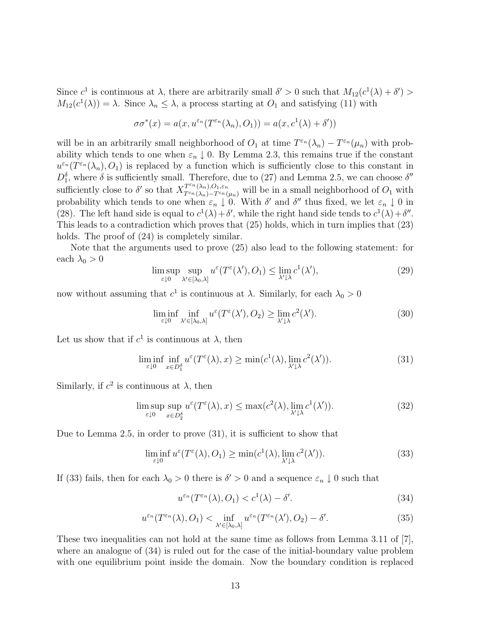Since  $c^1$  is continuous at  $\lambda$ , there are arbitrarily small  $\delta' > 0$  such that  $M_{12}(c^1(\lambda) + \delta') >$  $M_{12}(c^1(\lambda)) = \lambda$ . Since  $\lambda_n \leq \lambda$ , a process starting at  $O_1$  and satisfying (11) with

$$
\sigma\sigma^*(x)=a(x,u^{\varepsilon_n}(T^{\varepsilon_n}(\lambda_n),O_1))=a(x,c^1(\lambda)+\delta'))
$$

will be in an arbitrarily small neighborhood of  $O_1$  at time  $T^{\varepsilon_n}(\lambda_n) - T^{\varepsilon_n}(\mu_n)$  with probability which tends to one when  $\varepsilon_n \downarrow 0$ . By Lemma 2.3, this remains true if the constant  $u^{\varepsilon_n}(T^{\varepsilon_n}(\lambda_n), O_1)$  is replaced by a function which is sufficiently close to this constant in  $D_1^{\delta}$ , where  $\delta$  is sufficiently small. Therefore, due to (27) and Lemma 2.5, we can choose  $\delta''$ sufficiently close to  $\delta'$  so that  $X^{T^{\varepsilon_n}(\lambda_n),O_1,\varepsilon_n}_{T^{\varepsilon_n}(\lambda_n)-T^{\varepsilon_n}(\mu_n)}$  will be in a small neighborhood of  $O_1$  with probability which tends to one when  $\varepsilon_n \downarrow 0$ . With  $\delta'$  and  $\delta''$  thus fixed, we let  $\varepsilon_n \downarrow 0$  in (28). The left hand side is equal to  $c^1(\lambda) + \delta'$ , while the right hand side tends to  $c^1(\lambda) + \delta''$ . This leads to a contradiction which proves that (25) holds, which in turn implies that (23) holds. The proof of  $(24)$  is completely similar.

Note that the arguments used to prove (25) also lead to the following statement: for each  $\lambda_0 > 0$ 

$$
\limsup_{\varepsilon \downarrow 0} \sup_{\lambda' \in [\lambda_0, \lambda]} u^{\varepsilon}(T^{\varepsilon}(\lambda'), O_1) \le \lim_{\lambda' \downarrow \lambda} c^1(\lambda'), \tag{29}
$$

now without assuming that  $c^1$  is continuous at λ. Similarly, for each  $\lambda_0 > 0$ 

$$
\liminf_{\varepsilon \downarrow 0} \inf_{\lambda' \in [\lambda_0, \lambda]} u^{\varepsilon}(T^{\varepsilon}(\lambda'), O_2) \ge \lim_{\lambda' \downarrow \lambda} c^2(\lambda'). \tag{30}
$$

Let us show that if  $c^1$  is continuous at  $\lambda$ , then

$$
\liminf_{\varepsilon \downarrow 0} \inf_{x \in D_1^{\delta}} u^{\varepsilon}(T^{\varepsilon}(\lambda), x) \ge \min(c^1(\lambda), \lim_{\lambda' \downarrow \lambda} c^2(\lambda')). \tag{31}
$$

Similarly, if  $c^2$  is continuous at  $\lambda$ , then

$$
\limsup_{\varepsilon \downarrow 0} \sup_{x \in D_2^{\delta}} u^{\varepsilon}(T^{\varepsilon}(\lambda), x) \le \max(c^2(\lambda), \lim_{\lambda' \downarrow \lambda} c^1(\lambda')). \tag{32}
$$

Due to Lemma 2.5, in order to prove (31), it is sufficient to show that

$$
\liminf_{\varepsilon \downarrow 0} u^{\varepsilon}(T^{\varepsilon}(\lambda), O_1) \ge \min(c^1(\lambda), \lim_{\lambda' \downarrow \lambda} c^2(\lambda')).
$$
\n(33)

If (33) fails, then for each  $\lambda_0 > 0$  there is  $\delta' > 0$  and a sequence  $\varepsilon_n \downarrow 0$  such that

$$
u^{\varepsilon_n}(T^{\varepsilon_n}(\lambda), O_1) < c^1(\lambda) - \delta'.\tag{34}
$$

$$
u^{\varepsilon_n}(T^{\varepsilon_n}(\lambda), O_1) < \inf_{\lambda' \in [\lambda_0, \lambda]} u^{\varepsilon_n}(T^{\varepsilon_n}(\lambda'), O_2) - \delta'.\tag{35}
$$

These two inequalities can not hold at the same time as follows from Lemma 3.11 of [7], where an analogue of (34) is ruled out for the case of the initial-boundary value problem with one equilibrium point inside the domain. Now the boundary condition is replaced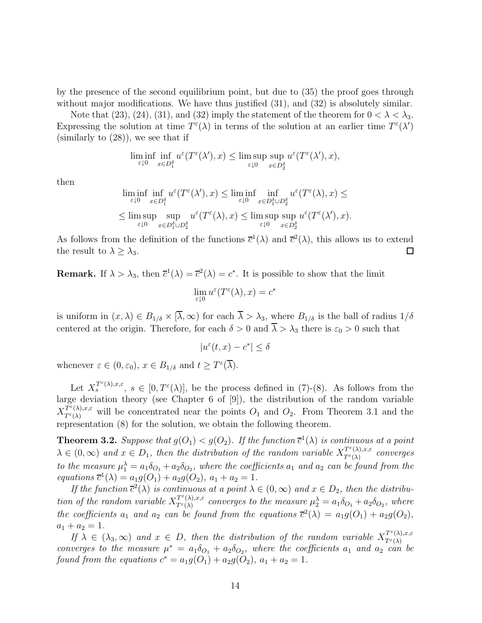by the presence of the second equilibrium point, but due to (35) the proof goes through without major modifications. We have thus justified  $(31)$ , and  $(32)$  is absolutely similar.

Note that (23), (24), (31), and (32) imply the statement of the theorem for  $0 < \lambda < \lambda_3$ . Expressing the solution at time  $T^{\varepsilon}(\lambda)$  in terms of the solution at an earlier time  $T^{\varepsilon}(\lambda')$  $(\text{similarly to } (28))$ , we see that if

$$
\liminf_{\varepsilon \downarrow 0} \inf_{x \in D_1^{\delta}} u^{\varepsilon}(T^{\varepsilon}(\lambda'), x) \le \limsup_{\varepsilon \downarrow 0} \sup_{x \in D_2^{\delta}} u^{\varepsilon}(T^{\varepsilon}(\lambda'), x),
$$

then

$$
\liminf_{\varepsilon \downarrow 0} \inf_{x \in D_1^\delta} u^\varepsilon(T^\varepsilon(\lambda'), x) \le \liminf_{\varepsilon \downarrow 0} \inf_{x \in D_1^\delta \cup D_2^\delta} u^\varepsilon(T^\varepsilon(\lambda), x) \le
$$
  

$$
\le \limsup_{\varepsilon \downarrow 0} \sup_{x \in D_1^\delta \cup D_2^\delta} u^\varepsilon(T^\varepsilon(\lambda), x) \le \limsup_{\varepsilon \downarrow 0} \sup_{x \in D_2^\delta} u^\varepsilon(T^\varepsilon(\lambda'), x).
$$

As follows from the definition of the functions  $\bar{c}^1(\lambda)$  and  $\bar{c}^2(\lambda)$ , this allows us to extend the result to  $\lambda \geq \lambda_3$ .  $\Box$ 

**Remark.** If  $\lambda > \lambda_3$ , then  $\overline{c}^1(\lambda) = \overline{c}^2(\lambda) = c^*$ . It is possible to show that the limit

$$
\lim_{\varepsilon \downarrow 0} u^{\varepsilon}(T^{\varepsilon}(\lambda), x) = c^*
$$

is uniform in  $(x, \lambda) \in B_{1/\delta} \times [\overline{\lambda}, \infty)$  for each  $\overline{\lambda} > \lambda_3$ , where  $B_{1/\delta}$  is the ball of radius  $1/\delta$ centered at the origin. Therefore, for each  $\delta > 0$  and  $\overline{\lambda} > \lambda_3$  there is  $\varepsilon_0 > 0$  such that

$$
|u^{\varepsilon}(t,x) - c^*| \le \delta
$$

whenever  $\varepsilon \in (0, \varepsilon_0), x \in B_{1/\delta}$  and  $t \geq T^{\varepsilon}(\overline{\lambda}).$ 

Let  $X_s^{T^{\varepsilon}(\lambda),x,\varepsilon}$ ,  $s \in [0,T^{\varepsilon}(\lambda)]$ , be the process defined in (7)-(8). As follows from the large deviation theory (see Chapter 6 of [9]), the distribution of the random variable  $X_{T^{\varepsilon}(\lambda),x,\varepsilon}^{T^{\varepsilon}(\lambda),x,\varepsilon}$  will be concentrated near the points  $O_1$  and  $O_2$ . From Theorem 3.1 and the representation (8) for the solution, we obtain the following theorem.

**Theorem 3.2.** Suppose that  $g(O_1) < g(O_2)$ . If the function  $\bar{c}^1(\lambda)$  is continuous at a point  $\lambda \in (0,\infty)$  and  $x \in D_1$ , then the distribution of the random variable  $X^{T^{\varepsilon}(\lambda),x,\varepsilon}_{T^{\varepsilon}(\lambda)}$  converges to the measure  $\mu_1^{\lambda} = a_1 \delta_{O_1} + a_2 \delta_{O_2}$ , where the coefficients  $a_1$  and  $a_2$  can be found from the equations  $\overline{c}^1(\lambda) = a_1 g(O_1) + a_2 g(O_2), a_1 + a_2 = 1.$ 

If the function  $\bar{c}^2(\lambda)$  is continuous at a point  $\lambda \in (0,\infty)$  and  $x \in D_2$ , then the distribution of the random variable  $X_{T^{\varepsilon}(\lambda)}^{\mathcal{I}^{\varepsilon}(\lambda),x,\varepsilon}$  converges to the measure  $\mu_2^{\lambda} = a_1 \delta_{O_1} + a_2 \delta_{O_2}$ , where the coefficients  $a_1$  and  $a_2$  can be found from the equations  $\overline{c}^2(\lambda) = a_1g(O_1) + a_2g(O_2)$ ,  $a_1 + a_2 = 1.$ 

If  $\lambda \in (\lambda_3, \infty)$  and  $x \in D$ , then the distribution of the random variable  $X^{T^{\varepsilon}(\lambda), x, \varepsilon}_{T^{\varepsilon}(\lambda)}$ converges to the measure  $\mu^* = a_1 \delta_{O_1} + a_2 \delta_{O_2}$ , where the coefficients  $a_1$  and  $a_2$  can be found from the equations  $c^* = a_1 g(O_1) + a_2 g(O_2)$ ,  $a_1 + a_2 = 1$ .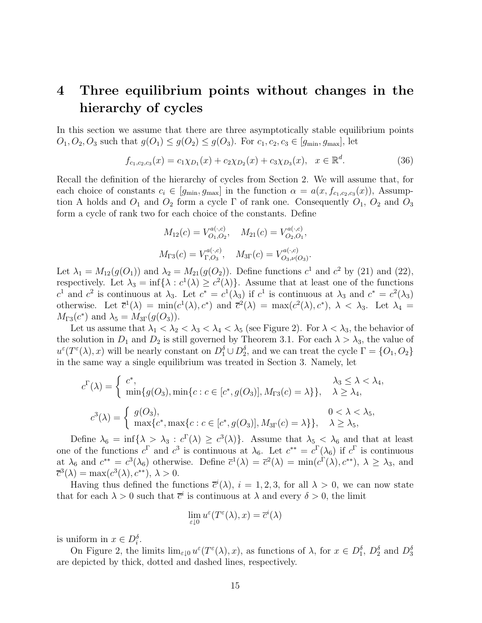## **4 Three equilibrium points without changes in the hierarchy of cycles**

In this section we assume that there are three asymptotically stable equilibrium points  $O_1, O_2, O_3$  such that  $g(O_1) \leq g(O_2) \leq g(O_3)$ . For  $c_1, c_2, c_3 \in [g_{\text{min}}, g_{\text{max}}]$ , let

$$
f_{c_1,c_2,c_3}(x) = c_1 \chi_{D_1}(x) + c_2 \chi_{D_2}(x) + c_3 \chi_{D_3}(x), \quad x \in \mathbb{R}^d.
$$
 (36)

Recall the definition of the hierarchy of cycles from Section 2. We will assume that, for each choice of constants  $c_i \in [g_{\min}, g_{\max}]$  in the function  $\alpha = a(x, f_{c_1,c_2,c_3}(x))$ , Assumption A holds and  $O_1$  and  $O_2$  form a cycle  $\Gamma$  of rank one. Consequently  $O_1$ ,  $O_2$  and  $O_3$ form a cycle of rank two for each choice of the constants. Define

$$
M_{12}(c) = V_{O_1,O_2}^{a(\cdot,c)}, \quad M_{21}(c) = V_{O_2,O_1}^{a(\cdot,c)},
$$
  

$$
M_{\Gamma 3}(c) = V_{\Gamma,O_3}^{a(\cdot,c)}, \quad M_{3\Gamma}(c) = V_{O_3,\nu(O_3)}^{a(\cdot,c)}.
$$

Let  $\lambda_1 = M_{12}(g(O_1))$  and  $\lambda_2 = M_{21}(g(O_2))$ . Define functions  $c^1$  and  $c^2$  by (21) and (22), respectively. Let  $\lambda_3 = \inf \{ \lambda : c^1(\lambda) \geq c^2(\lambda) \}.$  Assume that at least one of the functions  $c^1$  and  $c^2$  is continuous at  $\lambda_3$ . Let  $c^* = c^1(\lambda_3)$  if  $c^1$  is continuous at  $\lambda_3$  and  $c^* = c^2(\lambda_3)$ otherwise. Let  $\bar{c}^1(\lambda) = \min(c^1(\lambda), c^*)$  and  $\bar{c}^2(\lambda) = \max(c^2(\lambda), c^*)$ ,  $\lambda < \lambda_3$ . Let  $\lambda_4 =$  $M_{\Gamma_3}(c^*)$  and  $\lambda_5 = M_{3\Gamma}(g(O_3)).$ 

Let us assume that  $\lambda_1 < \lambda_2 < \lambda_3 < \lambda_4 < \lambda_5$  (see Figure 2). For  $\lambda < \lambda_3$ , the behavior of the solution in  $D_1$  and  $D_2$  is still governed by Theorem 3.1. For each  $\lambda > \lambda_3$ , the value of  $u^{\varepsilon}(T^{\varepsilon}(\lambda),x)$  will be nearly constant on  $D_1^{\delta} \cup D_2^{\delta}$ , and we can treat the cycle  $\Gamma = \{O_1,O_2\}$ in the same way a single equilibrium was treated in Section 3. Namely, let

$$
c^{\Gamma}(\lambda) = \begin{cases} c^*, & \lambda_3 \leq \lambda < \lambda_4, \\ \min\{g(O_3), \min\{c : c \in [c^*, g(O_3)], M_{\Gamma 3}(c) = \lambda\}\}, & \lambda \geq \lambda_4, \end{cases}
$$
  

$$
c^3(\lambda) = \begin{cases} g(O_3), & 0 < \lambda < \lambda_5, \\ \max\{c^*, \max\{c : c \in [c^*, g(O_3)], M_{\text{3}\Gamma}(c) = \lambda\}\}, & \lambda \geq \lambda_5, \end{cases}
$$

Define  $\lambda_6 = \inf \{ \lambda > \lambda_3 : c^{\Gamma}(\lambda) \geq c^3(\lambda) \}.$  Assume that  $\lambda_5 < \lambda_6$  and that at least one of the functions  $c^{\Gamma}$  and  $c^3$  is continuous at  $\lambda_6$ . Let  $c^{**} = c^{\Gamma}(\lambda_6)$  if  $c^{\Gamma}$  is continuous at  $\lambda_6$  and  $c^{**} = c^3(\lambda_6)$  otherwise. Define  $\overline{c}^1(\lambda) = \overline{c}^2(\lambda) = \min(c^{\Gamma}(\lambda), c^{**}), \lambda \geq \lambda_3$ , and  $\overline{c}^3(\lambda) = \max(c^3(\lambda), c^{**}), \lambda > 0.$ 

Having thus defined the functions  $\bar{c}^i(\lambda)$ ,  $i = 1, 2, 3$ , for all  $\lambda > 0$ , we can now state that for each  $\lambda > 0$  such that  $\bar{c}^i$  is continuous at  $\lambda$  and every  $\delta > 0$ , the limit

$$
\lim_{\varepsilon \downarrow 0} u^{\varepsilon}(T^{\varepsilon}(\lambda), x) = \overline{c}^{i}(\lambda)
$$

is uniform in  $x \in D_i^{\delta}$ .

On Figure 2, the limits  $\lim_{\varepsilon\downarrow 0} u^{\varepsilon}(T^{\varepsilon}(\lambda), x)$ , as functions of  $\lambda$ , for  $x \in D_1^{\delta}$ ,  $D_2^{\delta}$  and  $D_3^{\delta}$ are depicted by thick, dotted and dashed lines, respectively.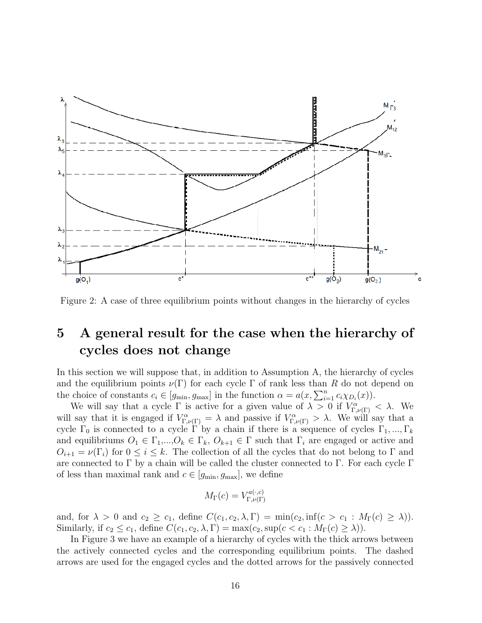

Figure 2: A case of three equilibrium points without changes in the hierarchy of cycles

### **5 A general result for the case when the hierarchy of cycles does not change**

In this section we will suppose that, in addition to Assumption A, the hierarchy of cycles and the equilibrium points  $\nu(\Gamma)$  for each cycle  $\Gamma$  of rank less than R do not depend on the choice of constants  $c_i \in [g_{\min}, g_{\max}]$  in the function  $\alpha = a(x, \sum_{i=1}^n c_i \chi_{D_i}(x)).$ 

We will say that a cycle  $\Gamma$  is active for a given value of  $\lambda > 0$  if  $V_{\Gamma,\nu(\Gamma)}^{\alpha} < \lambda$ . We will say that it is engaged if  $V_{\Gamma,\nu(\Gamma)}^{\alpha} = \lambda$  and passive if  $V_{\Gamma,\nu(\Gamma)}^{\alpha} > \lambda$ . We will say that a cycle  $\Gamma_0$  is connected to a cycle  $\Gamma'$  by a chain if there is a sequence of cycles  $\Gamma_1, ..., \Gamma_k$ and equilibriums  $O_1 \in \Gamma_1,...,O_k \in \Gamma_k$ ,  $O_{k+1} \in \Gamma$  such that  $\Gamma_i$  are engaged or active and  $O_{i+1} = \nu(\Gamma_i)$  for  $0 \leq i \leq k$ . The collection of all the cycles that do not belong to  $\Gamma$  and are connected to  $\Gamma$  by a chain will be called the cluster connected to  $\Gamma$ . For each cycle  $\Gamma$ of less than maximal rank and  $c \in [g_{\min}, g_{\max}]$ , we define

$$
M_{\Gamma}(c) = V_{\Gamma,\nu(\Gamma)}^{a(\cdot,c)}
$$

and, for  $\lambda > 0$  and  $c_2 \ge c_1$ , define  $C(c_1, c_2, \lambda, \Gamma) = \min(c_2, \inf(c > c_1 : M_\Gamma(c) \ge \lambda)).$ Similarly, if  $c_2 \leq c_1$ , define  $C(c_1, c_2, \lambda, \Gamma) = \max(c_2, \sup(c < c_1 : M_{\Gamma}(c) \geq \lambda)).$ 

In Figure 3 we have an example of a hierarchy of cycles with the thick arrows between the actively connected cycles and the corresponding equilibrium points. The dashed arrows are used for the engaged cycles and the dotted arrows for the passively connected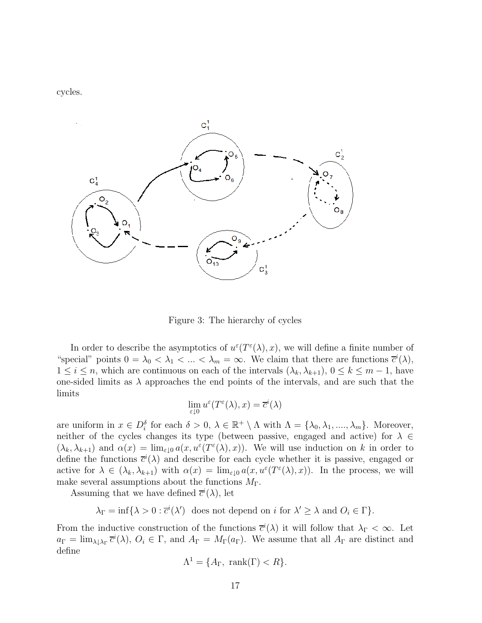cycles.



Figure 3: The hierarchy of cycles

In order to describe the asymptotics of  $u^{\varepsilon}(T^{\varepsilon}(\lambda),x)$ , we will define a finite number of "special" points  $0 = \lambda_0 < \lambda_1 < \ldots < \lambda_m = \infty$ . We claim that there are functions  $\bar{c}^i(\lambda)$ ,  $1 \leq i \leq n$ , which are continuous on each of the intervals  $(\lambda_k, \lambda_{k+1}), 0 \leq k \leq m-1$ , have one-sided limits as  $\lambda$  approaches the end points of the intervals, and are such that the limits

$$
\lim_{\varepsilon\downarrow 0}u^\varepsilon(T^\varepsilon(\lambda),x)=\overline{c}^i(\lambda)
$$

are uniform in  $x \in D_i^{\delta}$  for each  $\delta > 0$ ,  $\lambda \in \mathbb{R}^+ \setminus \Lambda$  with  $\Lambda = {\lambda_0, \lambda_1, ..., \lambda_m}$ . Moreover, neither of the cycles changes its type (between passive, engaged and active) for  $\lambda \in$  $(\lambda_k, \lambda_{k+1})$  and  $\alpha(x) = \lim_{\varepsilon \downarrow 0} a(x, u^{\varepsilon}(T^{\varepsilon}(\lambda), x)).$  We will use induction on k in order to define the functions  $\bar{c}^i(\lambda)$  and describe for each cycle whether it is passive, engaged or active for  $\lambda \in (\lambda_k, \lambda_{k+1})$  with  $\alpha(x) = \lim_{\varepsilon \downarrow 0} a(x, u^{\varepsilon}(T^{\varepsilon}(\lambda), x))$ . In the process, we will make several assumptions about the functions  $M_{\Gamma}$ .

Assuming that we have defined  $\bar{c}^i(\lambda)$ , let

 $\lambda_{\Gamma} = \inf \{ \lambda > 0 : \overline{c}^{i}(\lambda') \text{ does not depend on } i \text{ for } \lambda' \geq \lambda \text{ and } O_{i} \in \Gamma \}.$ 

From the inductive construction of the functions  $\bar{c}^i(\lambda)$  it will follow that  $\lambda_{\Gamma} < \infty$ . Let  $a_{\Gamma} = \lim_{\lambda \downarrow \lambda_{\Gamma}} \overline{c}^i(\lambda), \ O_i \in \Gamma$ , and  $A_{\Gamma} = M_{\Gamma}(a_{\Gamma})$ . We assume that all  $A_{\Gamma}$  are distinct and define

$$
\Lambda^1 = \{A_\Gamma, \text{ rank}(\Gamma) < R\}.
$$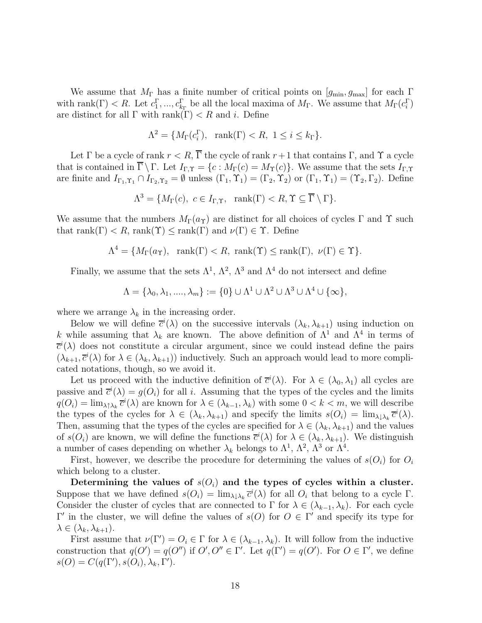We assume that  $M_{\Gamma}$  has a finite number of critical points on  $[g_{\min}, g_{\max}]$  for each  $\Gamma$ with rank( $\Gamma$ ) < R. Let  $c_1^{\Gamma}, ..., c_{k_{\Gamma}}^{\Gamma}$  be all the local maxima of  $M_{\Gamma}$ . We assume that  $M_{\Gamma}(c_i^{\Gamma})$ are distinct for all  $\Gamma$  with rank( $\Gamma$ ) < R and i. Define

$$
\Lambda^2 = \{ M_\Gamma(c_i^{\Gamma}), \ \text{rank}(\Gamma) < R, \ 1 \le i \le k_\Gamma \}.
$$

Let  $\Gamma$  be a cycle of rank  $r < R$ ,  $\overline{\Gamma}$  the cycle of rank  $r+1$  that contains  $\Gamma$ , and  $\Upsilon$  a cycle that is contained in  $\overline{\Gamma} \setminus \Gamma$ . Let  $I_{\Gamma,\Upsilon} = \{c : M_{\Gamma}(c) = M_{\Upsilon}(c)\}\.$  We assume that the sets  $I_{\Gamma,\Upsilon}$ are finite and  $I_{\Gamma_1,\Upsilon_1} \cap I_{\Gamma_2,\Upsilon_2} = \emptyset$  unless  $(\Gamma_1,\Upsilon_1) = (\Gamma_2,\Upsilon_2)$  or  $(\Gamma_1,\Upsilon_1) = (\Upsilon_2,\Gamma_2)$ . Define

$$
\Lambda^3 = \{ M_{\Gamma}(c), \ c \in I_{\Gamma,\Upsilon}, \ \ \mathrm{rank}(\Gamma) < R, \Upsilon \subseteq \overline{\Gamma} \setminus \Gamma \}.
$$

We assume that the numbers  $M_{\Gamma}(a_{\Upsilon})$  are distinct for all choices of cycles  $\Gamma$  and  $\Upsilon$  such that rank(Γ)  $\lt R$ , rank(Υ)  $\leq$  rank(Γ) and  $\nu(\Gamma) \in \Upsilon$ . Define

$$
\Lambda^4 = \{ M_\Gamma(a_\Upsilon), \text{ rank}(\Gamma) < R, \text{ rank}(\Upsilon) \le \text{rank}(\Gamma), \nu(\Gamma) \in \Upsilon \}.
$$

Finally, we assume that the sets  $\Lambda^1$ ,  $\Lambda^2$ ,  $\Lambda^3$  and  $\Lambda^4$  do not intersect and define

$$
\Lambda = \{\lambda_0, \lambda_1, \dots, \lambda_m\} := \{0\} \cup \Lambda^1 \cup \Lambda^2 \cup \Lambda^3 \cup \Lambda^4 \cup \{\infty\},\
$$

where we arrange  $\lambda_k$  in the increasing order.

Below we will define  $\bar{c}^i(\lambda)$  on the successive intervals  $(\lambda_k, \lambda_{k+1})$  using induction on k while assuming that  $\lambda_k$  are known. The above definition of  $\Lambda^1$  and  $\Lambda^4$  in terms of  $\overline{c}^i(\lambda)$  does not constitute a circular argument, since we could instead define the pairs  $(\lambda_{k+1}, \overline{c}^i(\lambda))$  for  $\lambda \in (\lambda_k, \lambda_{k+1})$  inductively. Such an approach would lead to more complicated notations, though, so we avoid it.

Let us proceed with the inductive definition of  $\bar{c}^i(\lambda)$ . For  $\lambda \in (\lambda_0, \lambda_1)$  all cycles are passive and  $\overline{c}^i(\lambda) = g(O_i)$  for all i. Assuming that the types of the cycles and the limits  $q(O_i) = \lim_{\lambda \uparrow \lambda_k} \overline{c}^i(\lambda)$  are known for  $\lambda \in (\lambda_{k-1}, \lambda_k)$  with some  $0 < k < m$ , we will describe the types of the cycles for  $\lambda \in (\lambda_k, \lambda_{k+1})$  and specify the limits  $s(O_i) = \lim_{\lambda \downarrow \lambda_k} \overline{c}^i(\lambda)$ . Then, assuming that the types of the cycles are specified for  $\lambda \in (\lambda_k, \lambda_{k+1})$  and the values of  $s(O_i)$  are known, we will define the functions  $\overline{c}^i(\lambda)$  for  $\lambda \in (\lambda_k, \lambda_{k+1})$ . We distinguish a number of cases depending on whether  $\lambda_k$  belongs to  $\Lambda^1$ ,  $\Lambda^2$ ,  $\Lambda^3$  or  $\Lambda^4$ .

First, however, we describe the procedure for determining the values of  $s(O_i)$  for  $O_i$ which belong to a cluster.

Determining the values of  $s(O_i)$  and the types of cycles within a cluster. Suppose that we have defined  $s(O_i) = \lim_{\lambda \downarrow \lambda_k} \overline{c}^i(\lambda)$  for all  $O_i$  that belong to a cycle  $\Gamma$ . Consider the cluster of cycles that are connected to  $\Gamma$  for  $\lambda \in (\lambda_{k-1}, \lambda_k)$ . For each cycle Γ' in the cluster, we will define the values of  $s(O)$  for  $O \in \Gamma'$  and specify its type for  $\lambda \in (\lambda_k, \lambda_{k+1}).$ 

First assume that  $\nu(\Gamma') = O_i \in \Gamma$  for  $\lambda \in (\lambda_{k-1}, \lambda_k)$ . It will follow from the inductive construction that  $q(O') = q(O'')$  if  $O', O'' \in \Gamma'$ . Let  $q(\Gamma') = q(O')$ . For  $O \in \Gamma'$ , we define  $s(O) = C(q(\Gamma'), s(O_i), \lambda_k, \Gamma').$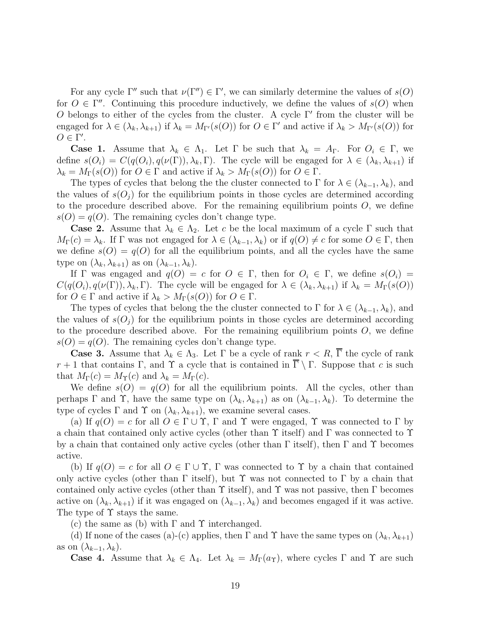For any cycle  $\Gamma''$  such that  $\nu(\Gamma'') \in \Gamma'$ , we can similarly determine the values of  $s(O)$ for  $O \in \Gamma''$ . Continuing this procedure inductively, we define the values of  $s(O)$  when O belongs to either of the cycles from the cluster. A cycle  $\Gamma'$  from the cluster will be engaged for  $\lambda \in (\lambda_k, \lambda_{k+1})$  if  $\lambda_k = M_{\Gamma'}(s(O))$  for  $O \in \Gamma'$  and active if  $\lambda_k > M_{\Gamma'}(s(O))$  for  $O \in \Gamma'.$ 

**Case 1.** Assume that  $\lambda_k \in \Lambda_1$ . Let  $\Gamma$  be such that  $\lambda_k = A_{\Gamma}$ . For  $O_i \in \Gamma$ , we define  $s(O_i) = C(q(O_i), q(\nu(\Gamma)), \lambda_k, \Gamma)$ . The cycle will be engaged for  $\lambda \in (\lambda_k, \lambda_{k+1})$  if  $\lambda_k = M_\Gamma(s(O))$  for  $O \in \Gamma$  and active if  $\lambda_k > M_\Gamma(s(O))$  for  $O \in \Gamma$ .

The types of cycles that belong the the cluster connected to  $\Gamma$  for  $\lambda \in (\lambda_{k-1}, \lambda_k)$ , and the values of  $s(O_i)$  for the equilibrium points in those cycles are determined according to the procedure described above. For the remaining equilibrium points  $O$ , we define  $s(O) = q(O)$ . The remaining cycles don't change type.

**Case 2.** Assume that  $\lambda_k \in \Lambda_2$ . Let c be the local maximum of a cycle  $\Gamma$  such that  $M_{\Gamma}(c) = \lambda_k$ . If  $\Gamma$  was not engaged for  $\lambda \in (\lambda_{k-1}, \lambda_k)$  or if  $q(O) \neq c$  for some  $O \in \Gamma$ , then we define  $s(O) = q(O)$  for all the equilibrium points, and all the cycles have the same type on  $(\lambda_k, \lambda_{k+1})$  as on  $(\lambda_{k-1}, \lambda_k)$ .

If  $\Gamma$  was engaged and  $q(O) = c$  for  $O \in \Gamma$ , then for  $O_i \in \Gamma$ , we define  $s(O_i) =$  $C(q(O_i), q(\nu(\Gamma)), \lambda_k, \Gamma)$ . The cycle will be engaged for  $\lambda \in (\lambda_k, \lambda_{k+1})$  if  $\lambda_k = M_{\Gamma}(s(O))$ for  $O \in \Gamma$  and active if  $\lambda_k > M_\Gamma(s(O))$  for  $O \in \Gamma$ .

The types of cycles that belong the the cluster connected to  $\Gamma$  for  $\lambda \in (\lambda_{k-1}, \lambda_k)$ , and the values of  $s(O_i)$  for the equilibrium points in those cycles are determined according to the procedure described above. For the remaining equilibrium points  $O$ , we define  $s(O) = q(O)$ . The remaining cycles don't change type.

**Case 3.** Assume that  $\lambda_k \in \Lambda_3$ . Let  $\Gamma$  be a cycle of rank  $r < R$ ,  $\overline{\Gamma}$  the cycle of rank  $r+1$  that contains Γ, and Υ a cycle that is contained in  $\overline{\Gamma} \setminus \Gamma$ . Suppose that c is such that  $M_{\Gamma}(c) = M_{\Upsilon}(c)$  and  $\lambda_k = M_{\Gamma}(c)$ .

We define  $s(O) = q(O)$  for all the equilibrium points. All the cycles, other than perhaps  $\Gamma$  and  $\Upsilon$ , have the same type on  $(\lambda_k, \lambda_{k+1})$  as on  $(\lambda_{k-1}, \lambda_k)$ . To determine the type of cycles  $\Gamma$  and  $\Upsilon$  on  $(\lambda_k, \lambda_{k+1})$ , we examine several cases.

(a) If  $q(O) = c$  for all  $O \in \Gamma \cup \Upsilon$ ,  $\Gamma$  and  $\Upsilon$  were engaged,  $\Upsilon$  was connected to  $\Gamma$  by a chain that contained only active cycles (other than  $\Upsilon$  itself) and  $\Gamma$  was connected to  $\Upsilon$ by a chain that contained only active cycles (other than  $\Gamma$  itself), then  $\Gamma$  and  $\Upsilon$  becomes active.

(b) If  $q(O) = c$  for all  $O \in \Gamma \cup \Upsilon$ ,  $\Gamma$  was connected to  $\Upsilon$  by a chain that contained only active cycles (other than  $\Gamma$  itself), but  $\Upsilon$  was not connected to  $\Gamma$  by a chain that contained only active cycles (other than  $\Upsilon$  itself), and  $\Upsilon$  was not passive, then  $\Gamma$  becomes active on  $(\lambda_k, \lambda_{k+1})$  if it was engaged on  $(\lambda_{k-1}, \lambda_k)$  and becomes engaged if it was active. The type of Υ stays the same.

(c) the same as (b) with  $\Gamma$  and  $\Upsilon$  interchanged.

(d) If none of the cases (a)-(c) applies, then  $\Gamma$  and  $\Upsilon$  have the same types on  $(\lambda_k, \lambda_{k+1})$ as on  $(\lambda_{k-1}, \lambda_k)$ .

**Case 4.** Assume that  $\lambda_k \in \Lambda_4$ . Let  $\lambda_k = M_\Gamma(a_\Upsilon)$ , where cycles  $\Gamma$  and  $\Upsilon$  are such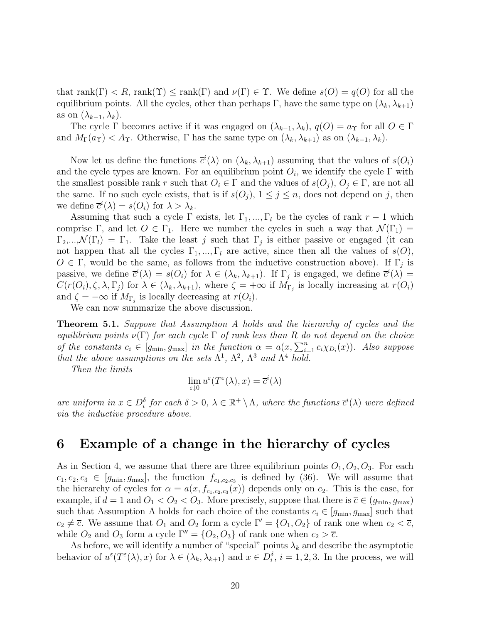that rank( $\Gamma$ )  $\lt R$ , rank( $\Upsilon$ )  $\leq$  rank( $\Gamma$ ) and  $\nu(\Gamma) \in \Upsilon$ . We define  $s(O) = q(O)$  for all the equilibrium points. All the cycles, other than perhaps Γ, have the same type on  $(\lambda_k, \lambda_{k+1})$ as on  $(\lambda_{k-1}, \lambda_k)$ .

The cycle Γ becomes active if it was engaged on  $(\lambda_{k-1}, \lambda_k)$ ,  $q(O) = a_{\Upsilon}$  for all  $O \in \Gamma$ and  $M_{\Gamma}(\alpha_{\Upsilon}) < A_{\Upsilon}$ . Otherwise,  $\Gamma$  has the same type on  $(\lambda_k, \lambda_{k+1})$  as on  $(\lambda_{k-1}, \lambda_k)$ .

Now let us define the functions  $\bar{c}^i(\lambda)$  on  $(\lambda_k, \lambda_{k+1})$  assuming that the values of  $s(O_i)$ and the cycle types are known. For an equilibrium point  $O_i$ , we identify the cycle  $\Gamma$  with the smallest possible rank r such that  $O_i \in \Gamma$  and the values of  $s(O_j)$ ,  $O_j \in \Gamma$ , are not all the same. If no such cycle exists, that is if  $s(O_i)$ ,  $1 \leq j \leq n$ , does not depend on j, then we define  $\overline{c}^i(\lambda) = s(O_i)$  for  $\lambda > \lambda_k$ .

Assuming that such a cycle  $\Gamma$  exists, let  $\Gamma_1, ..., \Gamma_l$  be the cycles of rank  $r-1$  which comprise Γ, and let  $O \in \Gamma_1$ . Here we number the cycles in such a way that  $\mathcal{N}(\Gamma_1) =$  $\Gamma_2,...,\mathcal{N}(\Gamma_l)=\Gamma_1$ . Take the least j such that  $\Gamma_j$  is either passive or engaged (it can not happen that all the cycles  $\Gamma_1, ..., \Gamma_l$  are active, since then all the values of  $s(O)$ ,  $O \in \Gamma$ , would be the same, as follows from the inductive construction above). If  $\Gamma_j$  is passive, we define  $\bar{c}^i(\lambda) = s(O_i)$  for  $\lambda \in (\lambda_k, \lambda_{k+1})$ . If  $\Gamma_j$  is engaged, we define  $\bar{c}^i(\lambda) =$  $C(r(O_i), \zeta, \lambda, \Gamma_j)$  for  $\lambda \in (\lambda_k, \lambda_{k+1}),$  where  $\zeta = +\infty$  if  $M_{\Gamma_j}$  is locally increasing at  $r(O_i)$ and  $\zeta = -\infty$  if  $M_{\Gamma_i}$  is locally decreasing at  $r(O_i)$ .

We can now summarize the above discussion.

**Theorem 5.1.** Suppose that Assumption A holds and the hierarchy of cycles and the equilibrium points  $\nu(\Gamma)$  for each cycle  $\Gamma$  of rank less than R do not depend on the choice of the constants  $c_i \in [g_{\min}, g_{\max}]$  in the function  $\alpha = a(x, \sum_{i=1}^n c_i \chi_{D_i}(x))$ . Also suppose that the above assumptions on the sets  $\Lambda^1$ ,  $\Lambda^2$ ,  $\Lambda^3$  and  $\Lambda^4$  hold.

Then the limits

$$
\lim_{\varepsilon \downarrow 0} u^{\varepsilon}(T^{\varepsilon}(\lambda), x) = \overline{c}^{i}(\lambda)
$$

are uniform in  $x \in D_i^{\delta}$  for each  $\delta > 0$ ,  $\lambda \in \mathbb{R}^+ \setminus \Lambda$ , where the functions  $\bar{c}^i(\lambda)$  were defined via the inductive procedure above.

#### **6 Example of a change in the hierarchy of cycles**

As in Section 4, we assume that there are three equilibrium points  $O_1$ ,  $O_2$ ,  $O_3$ . For each  $c_1, c_2, c_3 \in [g_{\min}, g_{\max}]$ , the function  $f_{c_1, c_2, c_3}$  is defined by (36). We will assume that the hierarchy of cycles for  $\alpha = a(x, f_{c_1,c_2,c_3}(x))$  depends only on  $c_2$ . This is the case, for example, if  $d = 1$  and  $O_1 < O_2 < O_3$ . More precisely, suppose that there is  $\overline{c} \in (g_{\min}, g_{\max})$ such that Assumption A holds for each choice of the constants  $c_i \in [g_{\min}, g_{\max}]$  such that  $c_2 \neq \overline{c}$ . We assume that  $O_1$  and  $O_2$  form a cycle  $\Gamma' = \{O_1, O_2\}$  of rank one when  $c_2 < \overline{c}$ , while  $O_2$  and  $O_3$  form a cycle  $\Gamma'' = \{O_2, O_3\}$  of rank one when  $c_2 > \overline{c}$ .

As before, we will identify a number of "special" points  $\lambda_k$  and describe the asymptotic behavior of  $u^{\varepsilon}(T^{\varepsilon}(\lambda),x)$  for  $\lambda \in (\lambda_k, \lambda_{k+1})$  and  $x \in D_i^{\delta}$ ,  $i = 1, 2, 3$ . In the process, we will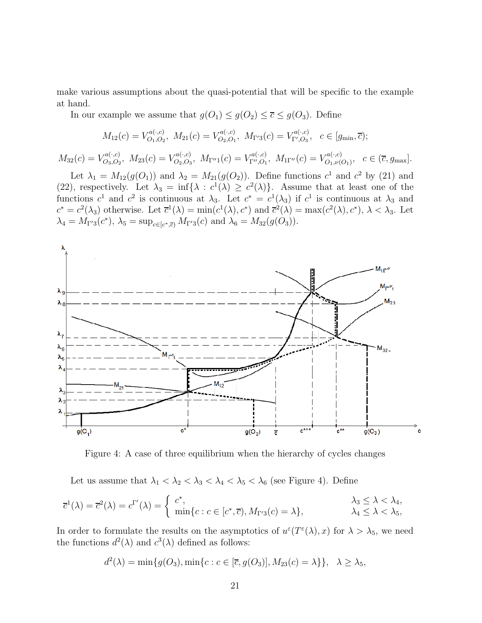make various assumptions about the quasi-potential that will be specific to the example at hand.

In our example we assume that  $g(O_1) \leq g(O_2) \leq \overline{c} \leq g(O_3)$ . Define

$$
M_{12}(c) = V_{O_1,O_2}^{a(\cdot,c)}, M_{21}(c) = V_{O_2,O_1}^{a(\cdot,c)}, M_{\Gamma'3}(c) = V_{\Gamma',O_3}^{a(\cdot,c)}, c \in [g_{\min}, \overline{c});
$$

 $M_{32}(c) = V^{a(.,c)}_{O_3,O_2}, M_{23}(c) = V^{a(.,c)}_{O_2,O_3}, M_{\Gamma''1}(c) = V^{a(.,c)}_{\Gamma'',O_1}, M_{\Gamma''}(c) = V^{a(.,c)}_{O_1,\nu(O_1)}, c \in (\overline{c}, g_{\text{max}}].$ 

Let  $\lambda_1 = M_{12}(g(O_1))$  and  $\lambda_2 = M_{21}(g(O_2))$ . Define functions  $c^1$  and  $c^2$  by (21) and (22), respectively. Let  $\lambda_3 = \inf{\lambda : c^1(\lambda) \geq c^2(\lambda)}$ . Assume that at least one of the functions  $c^1$  and  $c^2$  is continuous at  $\lambda_3$ . Let  $c^* = c^1(\lambda_3)$  if  $c^1$  is continuous at  $\lambda_3$  and  $c^* = c^2(\lambda_3)$  otherwise. Let  $\overline{c}^1(\lambda) = \min(c^1(\lambda), c^*)$  and  $\overline{c}^2(\lambda) = \max(c^2(\lambda), c^*)$ ,  $\lambda < \lambda_3$ . Let  $\lambda_4 = M_{\Gamma'3}(c^*), \ \lambda_5 = \sup_{c \in [c^*, \overline{c})} M_{\Gamma'3}(c) \text{ and } \lambda_6 = M_{32}(g(O_3)).$ 



Figure 4: A case of three equilibrium when the hierarchy of cycles changes

Let us assume that  $\lambda_1 < \lambda_2 < \lambda_3 < \lambda_4 < \lambda_5 < \lambda_6$  (see Figure 4). Define

$$
\overline{c}^1(\lambda) = \overline{c}^2(\lambda) = c^{\Gamma'}(\lambda) = \begin{cases} c^*, & \lambda_3 \leq \lambda < \lambda_4, \\ \min\{c : c \in [c^*, \overline{c}), M_{\Gamma'3}(c) = \lambda\}, & \lambda_4 \leq \lambda < \lambda_5, \end{cases}
$$

In order to formulate the results on the asymptotics of  $u^{\varepsilon}(T^{\varepsilon}(\lambda),x)$  for  $\lambda > \lambda_5$ , we need the functions  $d^2(\lambda)$  and  $c^3(\lambda)$  defined as follows:

$$
d^{2}(\lambda) = \min\{g(O_{3}), \min\{c : c \in [\overline{c}, g(O_{3})], M_{23}(c) = \lambda\}\}, \quad \lambda \ge \lambda_{5},
$$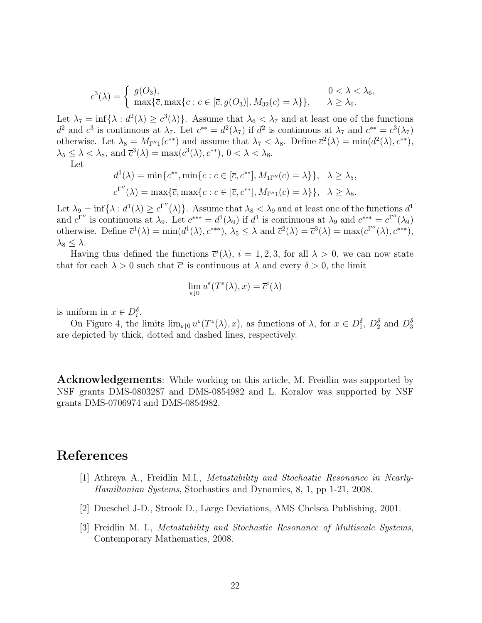$$
c^{3}(\lambda) = \begin{cases} g(O_{3}), & 0 < \lambda < \lambda_{6}, \\ \max\{\overline{c}, \max\{c : c \in [\overline{c}, g(O_{3})], M_{32}(c) = \lambda\}\}, & \lambda \geq \lambda_{6}. \end{cases}
$$

Let  $\lambda_7 = \inf{\lambda : d^2(\lambda) \ge c^3(\lambda)}$ . Assume that  $\lambda_6 < \lambda_7$  and at least one of the functions  $d^2$  and  $c^3$  is continuous at  $\lambda_7$ . Let  $c^{**} = d^2(\lambda_7)$  if  $d^2$  is continuous at  $\lambda_7$  and  $c^{**} = c^3(\lambda_7)$ otherwise. Let  $\lambda_8 = M_{\Gamma''1}(c^{**})$  and assume that  $\lambda_7 < \lambda_8$ . Define  $\overline{c}^2(\lambda) = \min(d^2(\lambda), c^{**}),$  $\lambda_5 \leq \lambda < \lambda_8$ , and  $\bar{c}^3(\lambda) = \max(c^3(\lambda), c^{**}), 0 < \lambda < \lambda_8$ .

Let

$$
d^{1}(\lambda) = \min \{c^{**}, \min \{c : c \in [\overline{c}, c^{**}], M_{\Pi''}(c) = \lambda\} \}, \quad \lambda \ge \lambda_5,
$$
  

$$
c^{\Gamma''}(\lambda) = \max \{ \overline{c}, \max \{c : c \in [\overline{c}, c^{**}], M_{\Gamma''1}(c) = \lambda\} \}, \quad \lambda \ge \lambda_8.
$$

Let  $\lambda_9 = \inf \{\lambda : d^1(\lambda) \ge c^{\Gamma''}(\lambda)\}\$ . Assume that  $\lambda_8 < \lambda_9$  and at least one of the functions  $d^1$ and  $c^{\Gamma''}$  is continuous at  $\lambda_9$ . Let  $c^{***} = d^1(\lambda_9)$  if  $d^1$  is continuous at  $\lambda_9$  and  $c^{***} = c^{\Gamma''}(\lambda_9)$ otherwise. Define  $\overline{c}^1(\lambda) = \min(d^1(\lambda), c^{***}), \lambda_5 \leq \lambda$  and  $\overline{c}^2(\lambda) = \overline{c}^3(\lambda) = \max(c^{\Gamma''}(\lambda), c^{***}),$  $\lambda_8 \leq \lambda$ .

Having thus defined the functions  $\bar{c}^i(\lambda)$ ,  $i = 1, 2, 3$ , for all  $\lambda > 0$ , we can now state that for each  $\lambda > 0$  such that  $\bar{c}^i$  is continuous at  $\lambda$  and every  $\delta > 0$ , the limit

$$
\lim_{\varepsilon \downarrow 0} u^{\varepsilon}(T^{\varepsilon}(\lambda), x) = \overline{c}^{i}(\lambda)
$$

is uniform in  $x \in D_i^{\delta}$ .

On Figure 4, the limits  $\lim_{\varepsilon\downarrow 0} u^{\varepsilon}(T^{\varepsilon}(\lambda), x)$ , as functions of  $\lambda$ , for  $x \in D_1^{\delta}$ ,  $D_2^{\delta}$  and  $D_3^{\delta}$ are depicted by thick, dotted and dashed lines, respectively.

**Acknowledgements**: While working on this article, M. Freidlin was supported by NSF grants DMS-0803287 and DMS-0854982 and L. Koralov was supported by NSF grants DMS-0706974 and DMS-0854982.

#### **References**

- [1] Athreya A., Freidlin M.I., Metastability and Stochastic Resonance in Nearly-Hamiltonian Systems, Stochastics and Dynamics, 8, 1, pp 1-21, 2008.
- [2] Dueschel J-D., Strook D., Large Deviations, AMS Chelsea Publishing, 2001.
- [3] Freidlin M. I., Metastability and Stochastic Resonance of Multiscale Systems, Contemporary Mathematics, 2008.